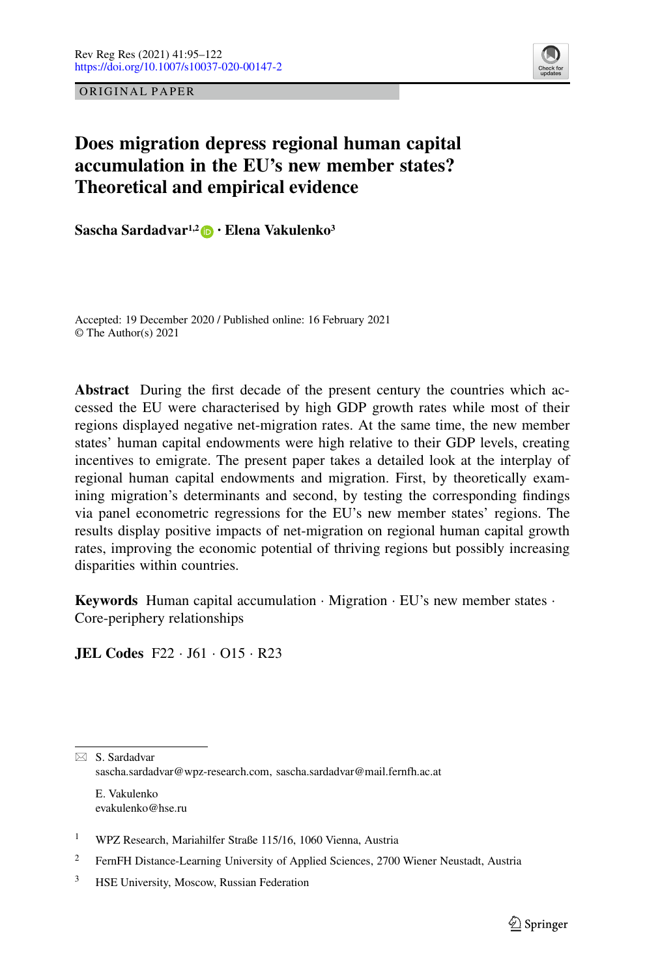ORIGINAL PAPER



# **Does migration depress regional human capital accumulation in the EU's new member states? Theoretical and empirical evidence**

**Sascha Sardadvar1,2 · Elena Vakulenko3**

Accepted: 19 December 2020 / Published online: 16 February 2021 © The Author(s) 2021

**Abstract** During the first decade of the present century the countries which accessed the EU were characterised by high GDP growth rates while most of their regions displayed negative net-migration rates. At the same time, the new member states' human capital endowments were high relative to their GDP levels, creating incentives to emigrate. The present paper takes a detailed look at the interplay of regional human capital endowments and migration. First, by theoretically examining migration's determinants and second, by testing the corresponding findings via panel econometric regressions for the EU's new member states' regions. The results display positive impacts of net-migration on regional human capital growth rates, improving the economic potential of thriving regions but possibly increasing disparities within countries.

**Keywords** Human capital accumulation · Migration · EU's new member states · Core-periphery relationships

**JEL Codes** F22 · J61 · O15 · R23

⊠ S. Sardadvar sascha.sardadvar@wpz-research.com, sascha.sardadvar@mail.fernfh.ac.at E. Vakulenko

<sup>1</sup> WPZ Research, Mariahilfer Straße 115/16, 1060 Vienna, Austria

evakulenko@hse.ru

<sup>&</sup>lt;sup>2</sup> FernFH Distance-Learning University of Applied Sciences, 2700 Wiener Neustadt, Austria

<sup>&</sup>lt;sup>3</sup> HSE University, Moscow, Russian Federation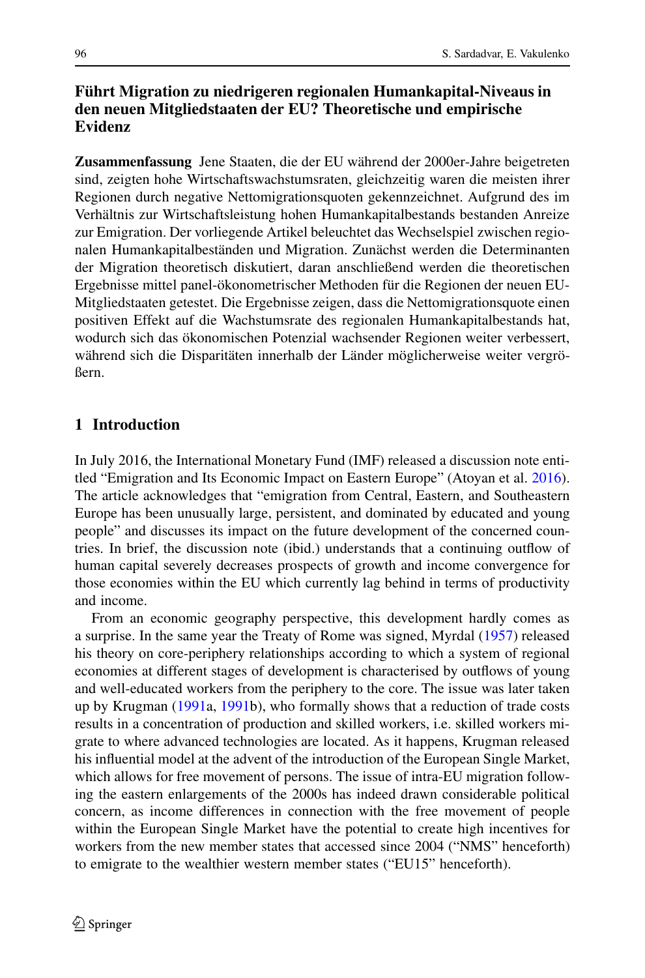# **Führt Migration zu niedrigeren regionalen Humankapital-Niveaus in den neuen Mitgliedstaaten der EU? Theoretische und empirische Evidenz**

**Zusammenfassung** Jene Staaten, die der EU während der 2000er-Jahre beigetreten sind, zeigten hohe Wirtschaftswachstumsraten, gleichzeitig waren die meisten ihrer Regionen durch negative Nettomigrationsquoten gekennzeichnet. Aufgrund des im Verhältnis zur Wirtschaftsleistung hohen Humankapitalbestands bestanden Anreize zur Emigration. Der vorliegende Artikel beleuchtet das Wechselspiel zwischen regionalen Humankapitalbeständen und Migration. Zunächst werden die Determinanten der Migration theoretisch diskutiert, daran anschließend werden die theoretischen Ergebnisse mittel panel-ökonometrischer Methoden für die Regionen der neuen EU-Mitgliedstaaten getestet. Die Ergebnisse zeigen, dass die Nettomigrationsquote einen positiven Effekt auf die Wachstumsrate des regionalen Humankapitalbestands hat, wodurch sich das ökonomischen Potenzial wachsender Regionen weiter verbessert, während sich die Disparitäten innerhalb der Länder möglicherweise weiter vergrößern.

# **1 Introduction**

In July 2016, the International Monetary Fund (IMF) released a discussion note entitled "Emigration and Its Economic Impact on Eastern Europe" (Atoyan et al. [2016\)](#page-26-0). The article acknowledges that "emigration from Central, Eastern, and Southeastern Europe has been unusually large, persistent, and dominated by educated and young people" and discusses its impact on the future development of the concerned countries. In brief, the discussion note (ibid.) understands that a continuing outflow of human capital severely decreases prospects of growth and income convergence for those economies within the EU which currently lag behind in terms of productivity and income.

From an economic geography perspective, this development hardly comes as a surprise. In the same year the Treaty of Rome was signed, Myrdal [\(1957\)](#page-27-0) released his theory on core-periphery relationships according to which a system of regional economies at different stages of development is characterised by outflows of young and well-educated workers from the periphery to the core. The issue was later taken up by Krugman [\(1991a](#page-27-1), [1991b](#page-27-2)), who formally shows that a reduction of trade costs results in a concentration of production and skilled workers, i.e. skilled workers migrate to where advanced technologies are located. As it happens, Krugman released his influential model at the advent of the introduction of the European Single Market, which allows for free movement of persons. The issue of intra-EU migration following the eastern enlargements of the 2000s has indeed drawn considerable political concern, as income differences in connection with the free movement of people within the European Single Market have the potential to create high incentives for workers from the new member states that accessed since 2004 ("NMS" henceforth) to emigrate to the wealthier western member states ("EU15" henceforth).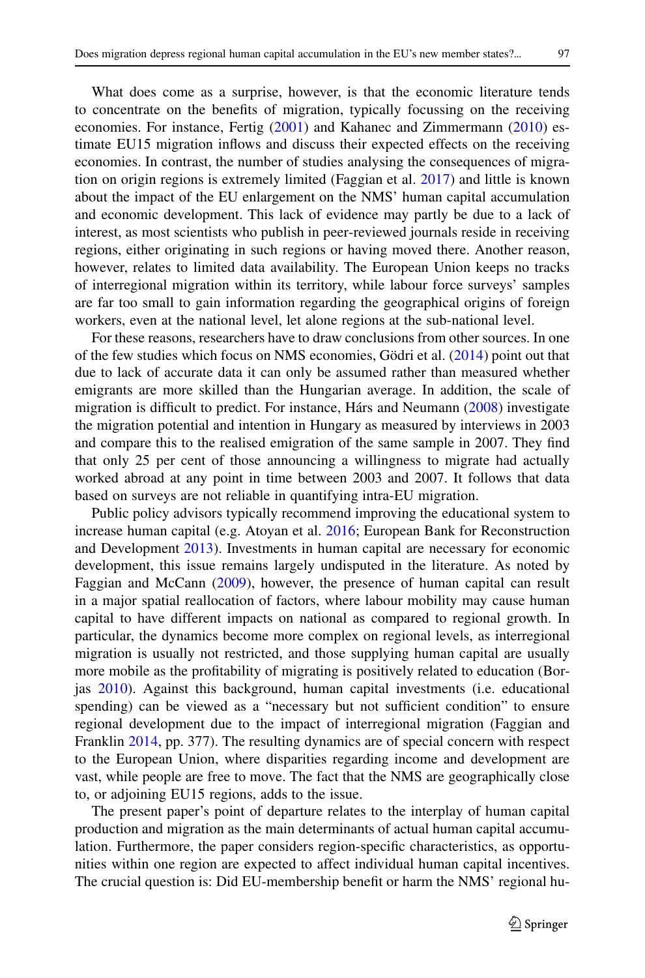What does come as a surprise, however, is that the economic literature tends to concentrate on the benefits of migration, typically focussing on the receiving economies. For instance, Fertig [\(2001\)](#page-26-1) and Kahanec and Zimmermann [\(2010\)](#page-26-2) estimate EU15 migration inflows and discuss their expected effects on the receiving economies. In contrast, the number of studies analysing the consequences of migration on origin regions is extremely limited (Faggian et al. [2017\)](#page-26-3) and little is known about the impact of the EU enlargement on the NMS' human capital accumulation and economic development. This lack of evidence may partly be due to a lack of interest, as most scientists who publish in peer-reviewed journals reside in receiving regions, either originating in such regions or having moved there. Another reason, however, relates to limited data availability. The European Union keeps no tracks of interregional migration within its territory, while labour force surveys' samples are far too small to gain information regarding the geographical origins of foreign workers, even at the national level, let alone regions at the sub-national level.

For these reasons, researchers have to draw conclusions from other sources. In one of the few studies which focus on NMS economies, Gödri et al. [\(2014\)](#page-26-4) point out that due to lack of accurate data it can only be assumed rather than measured whether emigrants are more skilled than the Hungarian average. In addition, the scale of migration is difficult to predict. For instance, Hárs and Neumann [\(2008\)](#page-26-5) investigate the migration potential and intention in Hungary as measured by interviews in 2003 and compare this to the realised emigration of the same sample in 2007. They find that only 25 per cent of those announcing a willingness to migrate had actually worked abroad at any point in time between 2003 and 2007. It follows that data based on surveys are not reliable in quantifying intra-EU migration.

Public policy advisors typically recommend improving the educational system to increase human capital (e.g. Atoyan et al. [2016;](#page-26-0) European Bank for Reconstruction and Development [2013\)](#page-26-6). Investments in human capital are necessary for economic development, this issue remains largely undisputed in the literature. As noted by Faggian and McCann [\(2009\)](#page-26-7), however, the presence of human capital can result in a major spatial reallocation of factors, where labour mobility may cause human capital to have different impacts on national as compared to regional growth. In particular, the dynamics become more complex on regional levels, as interregional migration is usually not restricted, and those supplying human capital are usually more mobile as the profitability of migrating is positively related to education (Borjas [2010\)](#page-26-8). Against this background, human capital investments (i.e. educational spending) can be viewed as a "necessary but not sufficient condition" to ensure regional development due to the impact of interregional migration (Faggian and Franklin [2014,](#page-26-9) pp. 377). The resulting dynamics are of special concern with respect to the European Union, where disparities regarding income and development are vast, while people are free to move. The fact that the NMS are geographically close to, or adjoining EU15 regions, adds to the issue.

The present paper's point of departure relates to the interplay of human capital production and migration as the main determinants of actual human capital accumulation. Furthermore, the paper considers region-specific characteristics, as opportunities within one region are expected to affect individual human capital incentives. The crucial question is: Did EU-membership benefit or harm the NMS' regional hu-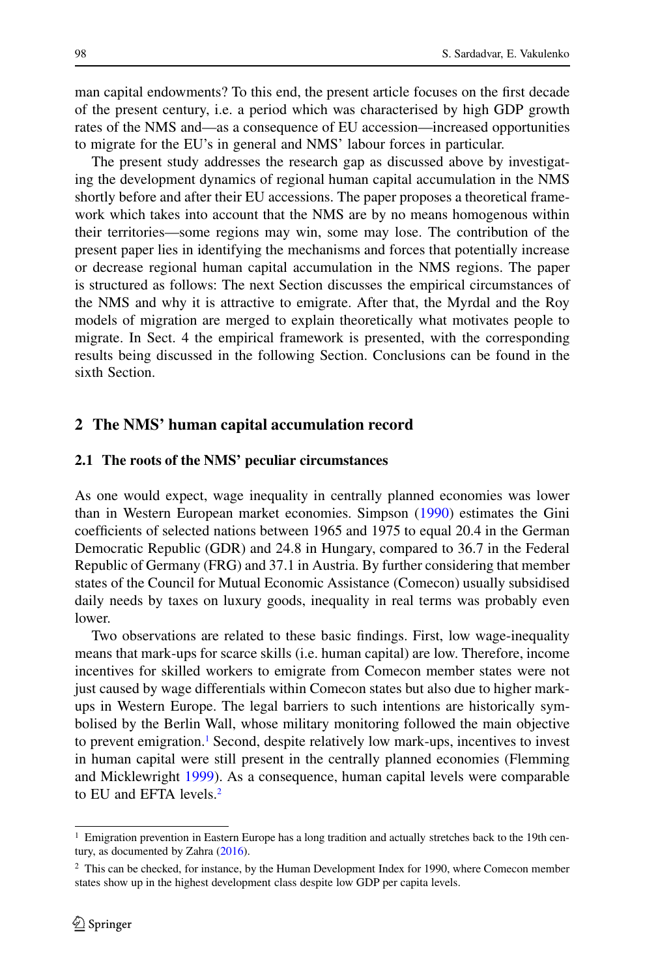man capital endowments? To this end, the present article focuses on the first decade of the present century, i.e. a period which was characterised by high GDP growth rates of the NMS and—as a consequence of EU accession—increased opportunities to migrate for the EU's in general and NMS' labour forces in particular.

The present study addresses the research gap as discussed above by investigating the development dynamics of regional human capital accumulation in the NMS shortly before and after their EU accessions. The paper proposes a theoretical framework which takes into account that the NMS are by no means homogenous within their territories—some regions may win, some may lose. The contribution of the present paper lies in identifying the mechanisms and forces that potentially increase or decrease regional human capital accumulation in the NMS regions. The paper is structured as follows: The next Section discusses the empirical circumstances of the NMS and why it is attractive to emigrate. After that, the Myrdal and the Roy models of migration are merged to explain theoretically what motivates people to migrate. In Sect. 4 the empirical framework is presented, with the corresponding results being discussed in the following Section. Conclusions can be found in the sixth Section.

## **2 The NMS' human capital accumulation record**

### **2.1 The roots of the NMS' peculiar circumstances**

As one would expect, wage inequality in centrally planned economies was lower than in Western European market economies. Simpson [\(1990\)](#page-27-3) estimates the Gini coefficients of selected nations between 1965 and 1975 to equal 20.4 in the German Democratic Republic (GDR) and 24.8 in Hungary, compared to 36.7 in the Federal Republic of Germany (FRG) and 37.1 in Austria. By further considering that member states of the Council for Mutual Economic Assistance (Comecon) usually subsidised daily needs by taxes on luxury goods, inequality in real terms was probably even lower.

Two observations are related to these basic findings. First, low wage-inequality means that mark-ups for scarce skills (i.e. human capital) are low. Therefore, income incentives for skilled workers to emigrate from Comecon member states were not just caused by wage differentials within Comecon states but also due to higher markups in Western Europe. The legal barriers to such intentions are historically symbolised by the Berlin Wall, whose military monitoring followed the main objective to prevent emigration.<sup>1</sup> Second, despite relatively low mark-ups, incentives to invest in human capital were still present in the centrally planned economies (Flemming and Micklewright [1999\)](#page-26-10). As a consequence, human capital levels were comparable to EU and EFTA levels.<sup>2</sup>

<span id="page-3-0"></span><sup>1</sup> Emigration prevention in Eastern Europe has a long tradition and actually stretches back to the 19th cen-tury, as documented by Zahra [\(2016\)](#page-27-4).

<span id="page-3-1"></span><sup>&</sup>lt;sup>2</sup> This can be checked, for instance, by the Human Development Index for 1990, where Comecon member states show up in the highest development class despite low GDP per capita levels.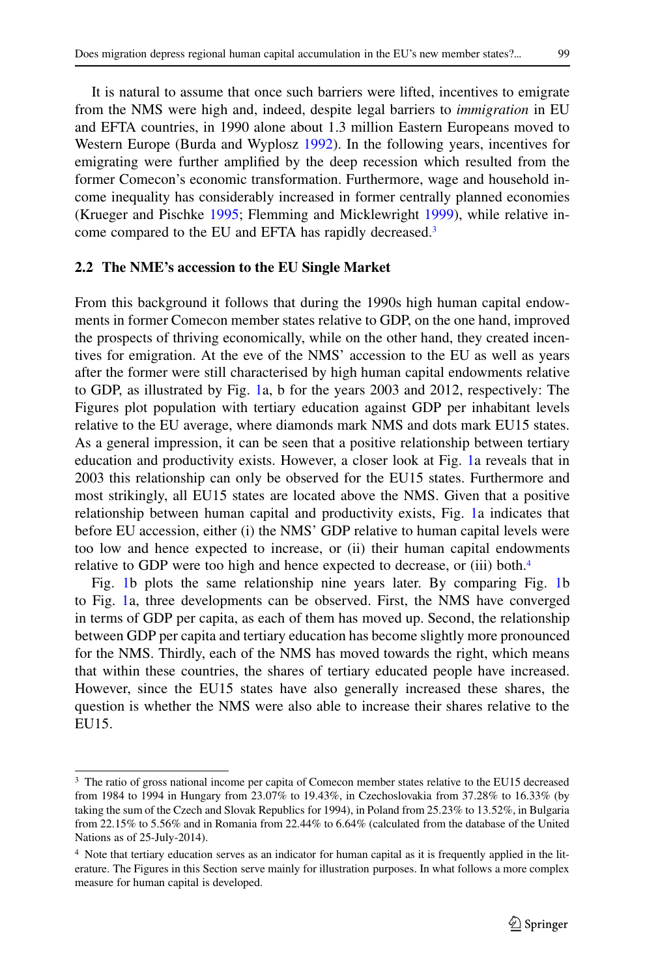It is natural to assume that once such barriers were lifted, incentives to emigrate from the NMS were high and, indeed, despite legal barriers to *immigration* in EU and EFTA countries, in 1990 alone about 1.3 million Eastern Europeans moved to Western Europe (Burda and Wyplosz [1992\)](#page-26-11). In the following years, incentives for emigrating were further amplified by the deep recession which resulted from the former Comecon's economic transformation. Furthermore, wage and household income inequality has considerably increased in former centrally planned economies (Krueger and Pischke [1995;](#page-27-5) Flemming and Micklewright [1999\)](#page-26-10), while relative income compared to the EU and EFTA has rapidly decreased.<sup>3</sup>

## **2.2 The NME's accession to the EU Single Market**

From this background it follows that during the 1990s high human capital endowments in former Comecon member states relative to GDP, on the one hand, improved the prospects of thriving economically, while on the other hand, they created incentives for emigration. At the eve of the NMS' accession to the EU as well as years after the former were still characterised by high human capital endowments relative to GDP, as illustrated by Fig. [1a](#page-5-0), b for the years 2003 and 2012, respectively: The Figures plot population with tertiary education against GDP per inhabitant levels relative to the EU average, where diamonds mark NMS and dots mark EU15 states. As a general impression, it can be seen that a positive relationship between tertiary education and productivity exists. However, a closer look at Fig. [1a](#page-5-0) reveals that in 2003 this relationship can only be observed for the EU15 states. Furthermore and most strikingly, all EU15 states are located above the NMS. Given that a positive relationship between human capital and productivity exists, Fig. [1a](#page-5-0) indicates that before EU accession, either (i) the NMS' GDP relative to human capital levels were too low and hence expected to increase, or (ii) their human capital endowments relative to GDP were too high and hence expected to decrease, or (iii) both.<sup>4</sup>

Fig. [1b](#page-5-0) plots the same relationship nine years later. By comparing Fig. [1b](#page-5-0) to Fig. [1a](#page-5-0), three developments can be observed. First, the NMS have converged in terms of GDP per capita, as each of them has moved up. Second, the relationship between GDP per capita and tertiary education has become slightly more pronounced for the NMS. Thirdly, each of the NMS has moved towards the right, which means that within these countries, the shares of tertiary educated people have increased. However, since the EU15 states have also generally increased these shares, the question is whether the NMS were also able to increase their shares relative to the EU15.

<span id="page-4-0"></span><sup>&</sup>lt;sup>3</sup> The ratio of gross national income per capita of Comecon member states relative to the EU15 decreased from 1984 to 1994 in Hungary from 23.07% to 19.43%, in Czechoslovakia from 37.28% to 16.33% (by taking the sum of the Czech and Slovak Republics for 1994), in Poland from 25.23% to 13.52%, in Bulgaria from 22.15% to 5.56% and in Romania from 22.44% to 6.64% (calculated from the database of the United Nations as of 25-July-2014).

<span id="page-4-1"></span><sup>4</sup> Note that tertiary education serves as an indicator for human capital as it is frequently applied in the literature. The Figures in this Section serve mainly for illustration purposes. In what follows a more complex measure for human capital is developed.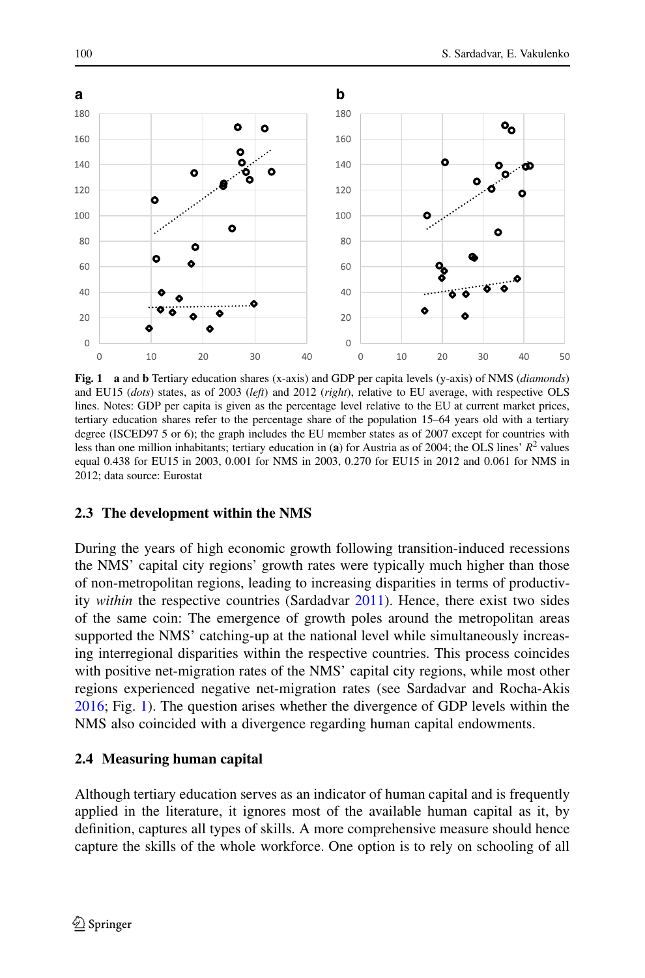

<span id="page-5-0"></span>**Fig. 1 a** and **b** Tertiary education shares (x-axis) and GDP per capita levels (y-axis) of NMS (*diamonds*) and EU15 (*dots*) states, as of 2003 (*left*) and 2012 (*right*), relative to EU average, with respective OLS lines. Notes: GDP per capita is given as the percentage level relative to the EU at current market prices, tertiary education shares refer to the percentage share of the population 15–64 years old with a tertiary degree (ISCED97 5 or 6); the graph includes the EU member states as of 2007 except for countries with less than one million inhabitants; tertiary education in (**a**) for Austria as of 2004; the OLS lines'  $R^2$  values equal 0.438 for EU15 in 2003, 0.001 for NMS in 2003, 0.270 for EU15 in 2012 and 0.061 for NMS in 2012; data source: Eurostat

# **2.3 The development within the NMS**

During the years of high economic growth following transition-induced recessions the NMS' capital city regions' growth rates were typically much higher than those of non-metropolitan regions, leading to increasing disparities in terms of productivity *within* the respective countries (Sardadvar [2011\)](#page-27-6). Hence, there exist two sides of the same coin: The emergence of growth poles around the metropolitan areas supported the NMS' catching-up at the national level while simultaneously increasing interregional disparities within the respective countries. This process coincides with positive net-migration rates of the NMS' capital city regions, while most other regions experienced negative net-migration rates (see Sardadvar and Rocha-Akis [2016;](#page-27-7) Fig. [1\)](#page-5-0). The question arises whether the divergence of GDP levels within the NMS also coincided with a divergence regarding human capital endowments.

# **2.4 Measuring human capital**

Although tertiary education serves as an indicator of human capital and is frequently applied in the literature, it ignores most of the available human capital as it, by definition, captures all types of skills. A more comprehensive measure should hence capture the skills of the whole workforce. One option is to rely on schooling of all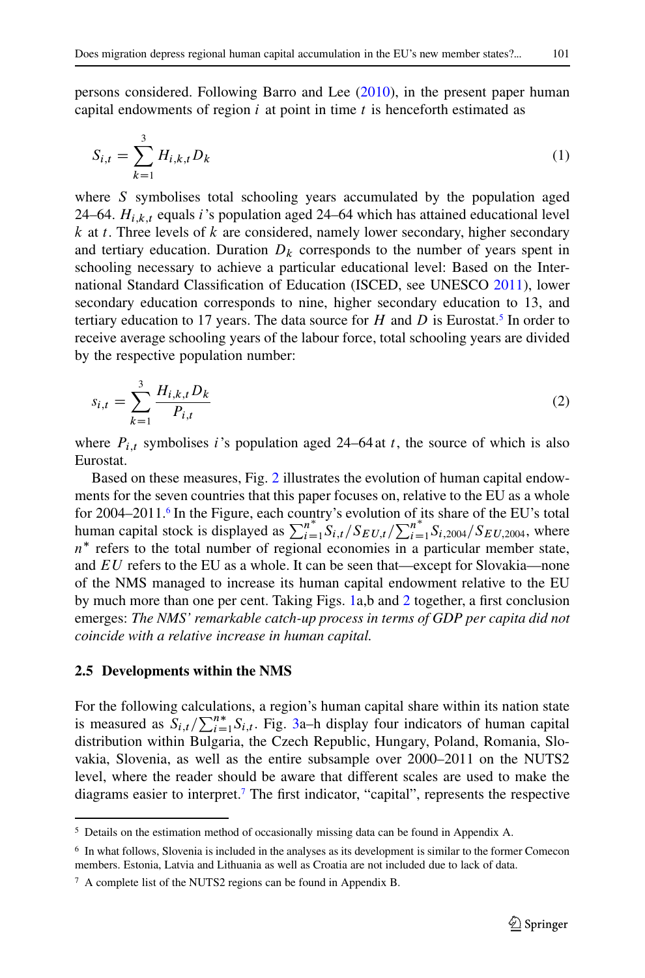<span id="page-6-3"></span>
$$
S_{i,t} = \sum_{k=1}^{3} H_{i,k,t} D_k
$$
 (1)

where S symbolises total schooling years accumulated by the population aged 24–64.  $H_{i,k,t}$  equals i's population aged 24–64 which has attained educational level  $k$  at t. Three levels of  $k$  are considered, namely lower secondary, higher secondary and tertiary education. Duration  $D_k$  corresponds to the number of years spent in schooling necessary to achieve a particular educational level: Based on the International Standard Classification of Education (ISCED, see UNESCO [2011\)](#page-27-8), lower secondary education corresponds to nine, higher secondary education to 13, and tertiary education to 17 years. The data source for  $H$  and  $D$  is Eurostat.<sup>5</sup> In order to receive average schooling years of the labour force, total schooling years are divided by the respective population number:

<span id="page-6-4"></span>
$$
s_{i,t} = \sum_{k=1}^{3} \frac{H_{i,k,t} D_k}{P_{i,t}}
$$
 (2)

where  $P_{i,t}$  symbolises i's population aged 24–64 at t, the source of which is also Eurostat.

Based on these measures, Fig. [2](#page-7-0) illustrates the evolution of human capital endowments for the seven countries that this paper focuses on, relative to the EU as a whole for 2004–2011.<sup>6</sup> In the Figure, each country's evolution of its share of the EU's total human capital stock is displayed as  $\sum_{i=1}^{n} S_{i,t}/S_{EU,t}/\sum_{i=1}^{n} S_{i,2004}/S_{EU,2004}$ , where  $n^*$  refers to the total number of regional economies in a particular member state, and EU refers to the EU as a whole. It can be seen that—except for Slovakia—none of the NMS managed to increase its human capital endowment relative to the EU by much more than one per cent. Taking Figs. [1a](#page-5-0),b and [2](#page-7-0) together, a first conclusion emerges: *The NMS' remarkable catch-up process in terms of GDP per capita did not coincide with a relative increase in human capital.*

## **2.5 Developments within the NMS**

For the following calculations, a region's human capital share within its nation state is measured as  $S_{i,t}/\sum_{i=1}^{n*} S_{i,t}$ . Fig. [3a](#page-8-0)–h display four indicators of human capital distribution within Bulgaria, the Czech Republic, Hungary, Poland, Romania, Slovakia, Slovenia, as well as the entire subsample over 2000–2011 on the NUTS2 level, where the reader should be aware that different scales are used to make the diagrams easier to interpret[.7](#page-6-2) The first indicator, "capital", represents the respective

<span id="page-6-1"></span><span id="page-6-0"></span><sup>5</sup> Details on the estimation method of occasionally missing data can be found in Appendix A.

<span id="page-6-2"></span><sup>6</sup> In what follows, Slovenia is included in the analyses as its development is similar to the former Comecon members. Estonia, Latvia and Lithuania as well as Croatia are not included due to lack of data.

 $<sup>7</sup>$  A complete list of the NUTS2 regions can be found in Appendix B.</sup>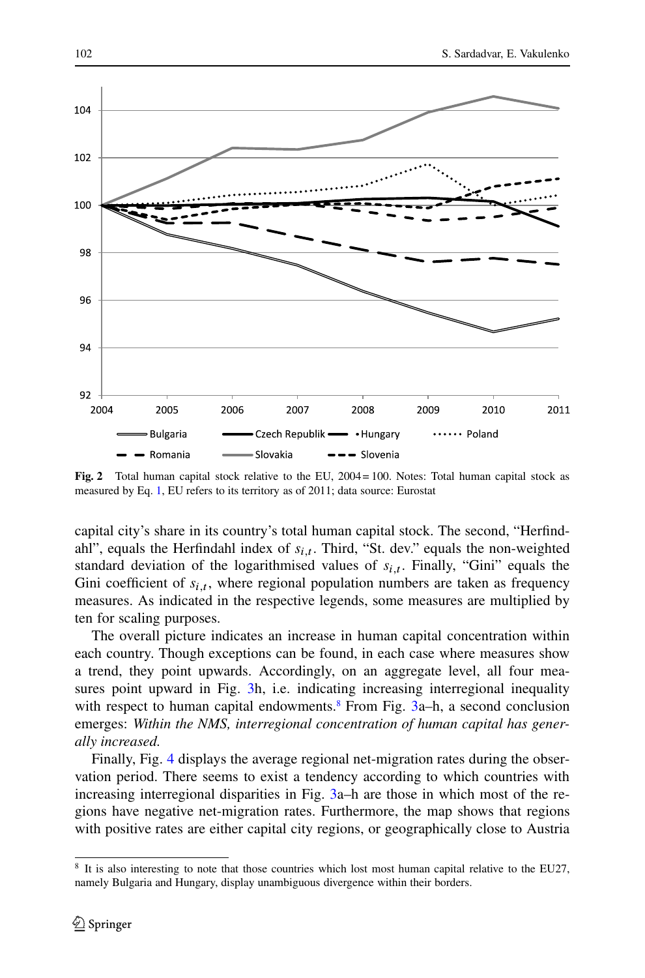

<span id="page-7-0"></span>**Fig. 2** Total human capital stock relative to the EU, 2004 = 100. Notes: Total human capital stock as measured by Eq. [1,](#page-6-3) EU refers to its territory as of 2011; data source: Eurostat

capital city's share in its country's total human capital stock. The second, "Herfindahl", equals the Herfindahl index of  $s_{i,t}$ . Third, "St. dev." equals the non-weighted standard deviation of the logarithmised values of  $s_{i,t}$ . Finally, "Gini" equals the Gini coefficient of  $s_{i,t}$ , where regional population numbers are taken as frequency measures. As indicated in the respective legends, some measures are multiplied by ten for scaling purposes.

The overall picture indicates an increase in human capital concentration within each country. Though exceptions can be found, in each case where measures show a trend, they point upwards. Accordingly, on an aggregate level, all four mea-sures point upward in Fig. [3h](#page-8-0), i.e. indicating increasing interregional inequality with respect to human capital endowments.<sup>8</sup> From Fig.  $3a-h$  $3a-h$ , a second conclusion emerges: *Within the NMS, interregional concentration of human capital has generally increased.*

Finally, Fig. [4](#page-9-0) displays the average regional net-migration rates during the observation period. There seems to exist a tendency according to which countries with increasing interregional disparities in Fig. [3a](#page-8-0)–h are those in which most of the regions have negative net-migration rates. Furthermore, the map shows that regions with positive rates are either capital city regions, or geographically close to Austria

<span id="page-7-1"></span><sup>8</sup> It is also interesting to note that those countries which lost most human capital relative to the EU27, namely Bulgaria and Hungary, display unambiguous divergence within their borders.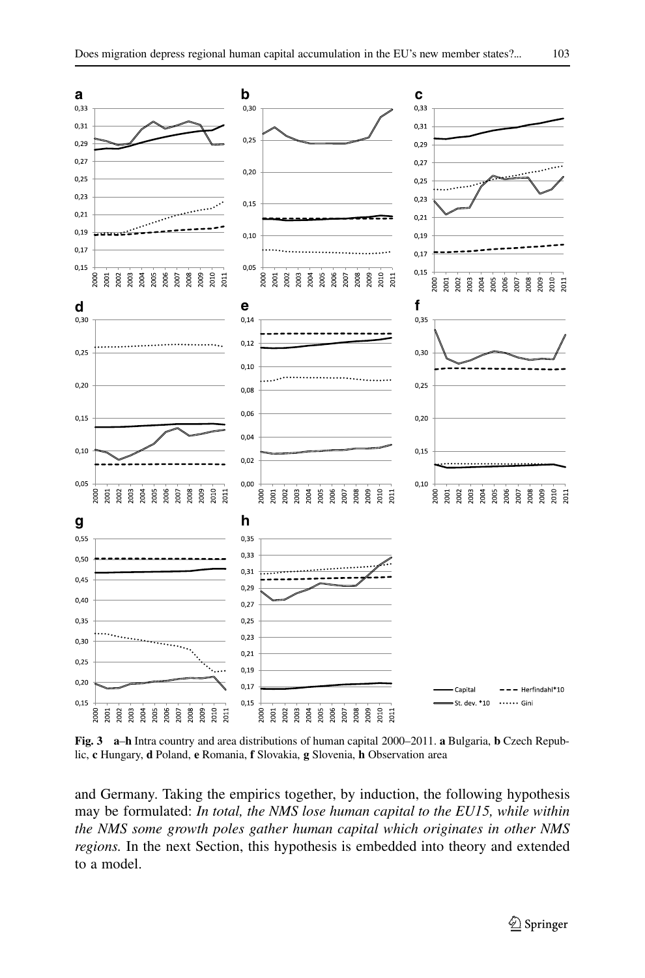



<span id="page-8-0"></span>**Fig. 3 a**–**h** Intra country and area distributions of human capital 2000–2011. **a** Bulgaria, **b** Czech Republic, **c** Hungary, **d** Poland, **e** Romania, **f** Slovakia, **g** Slovenia, **h** Observation area

and Germany. Taking the empirics together, by induction, the following hypothesis may be formulated: *In total, the NMS lose human capital to the EU15, while within the NMS some growth poles gather human capital which originates in other NMS regions.* In the next Section, this hypothesis is embedded into theory and extended to a model.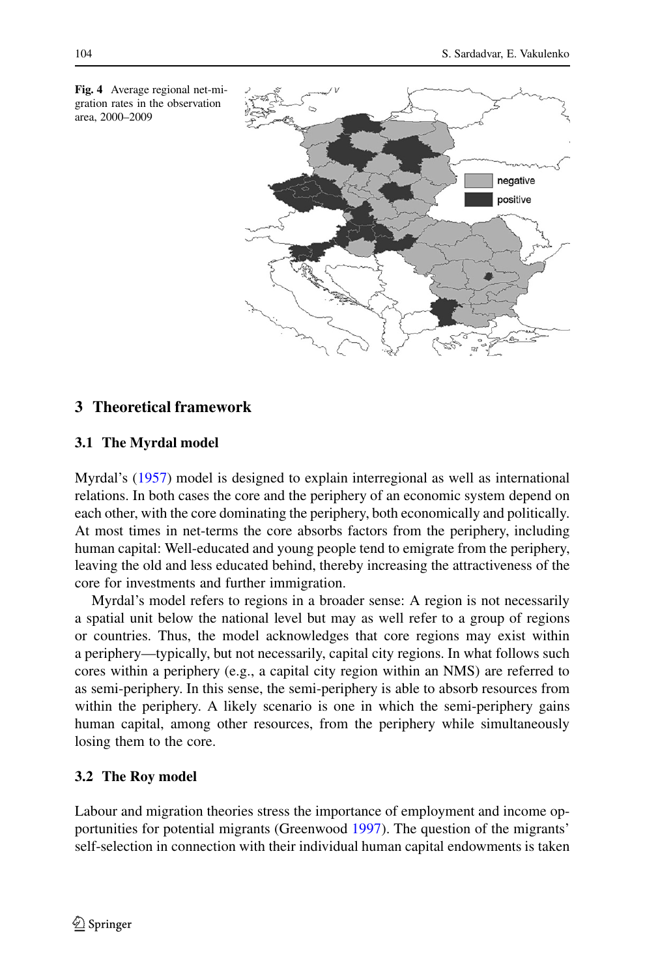

<span id="page-9-0"></span>**Fig. 4** Average regional net-migration rates in the observation area, 2000–2009

# **3 Theoretical framework**

## **3.1 The Myrdal model**

Myrdal's [\(1957\)](#page-27-0) model is designed to explain interregional as well as international relations. In both cases the core and the periphery of an economic system depend on each other, with the core dominating the periphery, both economically and politically. At most times in net-terms the core absorbs factors from the periphery, including human capital: Well-educated and young people tend to emigrate from the periphery, leaving the old and less educated behind, thereby increasing the attractiveness of the core for investments and further immigration.

Myrdal's model refers to regions in a broader sense: A region is not necessarily a spatial unit below the national level but may as well refer to a group of regions or countries. Thus, the model acknowledges that core regions may exist within a periphery—typically, but not necessarily, capital city regions. In what follows such cores within a periphery (e.g., a capital city region within an NMS) are referred to as semi-periphery. In this sense, the semi-periphery is able to absorb resources from within the periphery. A likely scenario is one in which the semi-periphery gains human capital, among other resources, from the periphery while simultaneously losing them to the core.

## **3.2 The Roy model**

Labour and migration theories stress the importance of employment and income opportunities for potential migrants (Greenwood [1997\)](#page-26-13). The question of the migrants' self-selection in connection with their individual human capital endowments is taken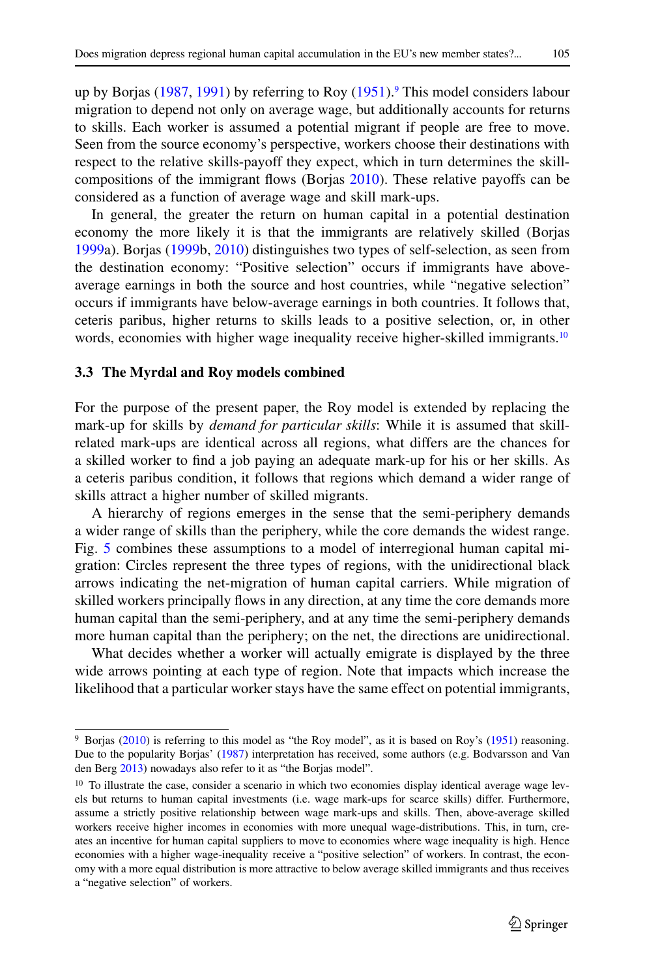up by Borjas [\(1987,](#page-26-14) [1991\)](#page-26-15) by referring to Roy [\(1951\)](#page-27-9).<sup>9</sup> This model considers labour migration to depend not only on average wage, but additionally accounts for returns to skills. Each worker is assumed a potential migrant if people are free to move. Seen from the source economy's perspective, workers choose their destinations with respect to the relative skills-payoff they expect, which in turn determines the skillcompositions of the immigrant flows (Borjas [2010\)](#page-26-8). These relative payoffs can be considered as a function of average wage and skill mark-ups.

In general, the greater the return on human capital in a potential destination economy the more likely it is that the immigrants are relatively skilled (Borjas [1999a](#page-26-16)). Borjas [\(1999b](#page-26-17), [2010\)](#page-26-8) distinguishes two types of self-selection, as seen from the destination economy: "Positive selection" occurs if immigrants have aboveaverage earnings in both the source and host countries, while "negative selection" occurs if immigrants have below-average earnings in both countries. It follows that, ceteris paribus, higher returns to skills leads to a positive selection, or, in other words, economies with higher wage inequality receive higher-skilled immigrants.<sup>10</sup>

#### **3.3 The Myrdal and Roy models combined**

For the purpose of the present paper, the Roy model is extended by replacing the mark-up for skills by *demand for particular skills*: While it is assumed that skillrelated mark-ups are identical across all regions, what differs are the chances for a skilled worker to find a job paying an adequate mark-up for his or her skills. As a ceteris paribus condition, it follows that regions which demand a wider range of skills attract a higher number of skilled migrants.

A hierarchy of regions emerges in the sense that the semi-periphery demands a wider range of skills than the periphery, while the core demands the widest range. Fig. [5](#page-11-0) combines these assumptions to a model of interregional human capital migration: Circles represent the three types of regions, with the unidirectional black arrows indicating the net-migration of human capital carriers. While migration of skilled workers principally flows in any direction, at any time the core demands more human capital than the semi-periphery, and at any time the semi-periphery demands more human capital than the periphery; on the net, the directions are unidirectional.

What decides whether a worker will actually emigrate is displayed by the three wide arrows pointing at each type of region. Note that impacts which increase the likelihood that a particular worker stays have the same effect on potential immigrants,

<span id="page-10-0"></span><sup>9</sup> Borjas [\(2010\)](#page-26-8) is referring to this model as "the Roy model", as it is based on Roy's [\(1951\)](#page-27-9) reasoning. Due to the popularity Borjas' [\(1987\)](#page-26-14) interpretation has received, some authors (e.g. Bodvarsson and Van den Berg [2013\)](#page-26-18) nowadays also refer to it as "the Borjas model".

<span id="page-10-1"></span><sup>&</sup>lt;sup>10</sup> To illustrate the case, consider a scenario in which two economies display identical average wage levels but returns to human capital investments (i.e. wage mark-ups for scarce skills) differ. Furthermore, assume a strictly positive relationship between wage mark-ups and skills. Then, above-average skilled workers receive higher incomes in economies with more unequal wage-distributions. This, in turn, creates an incentive for human capital suppliers to move to economies where wage inequality is high. Hence economies with a higher wage-inequality receive a "positive selection" of workers. In contrast, the economy with a more equal distribution is more attractive to below average skilled immigrants and thus receives a "negative selection" of workers.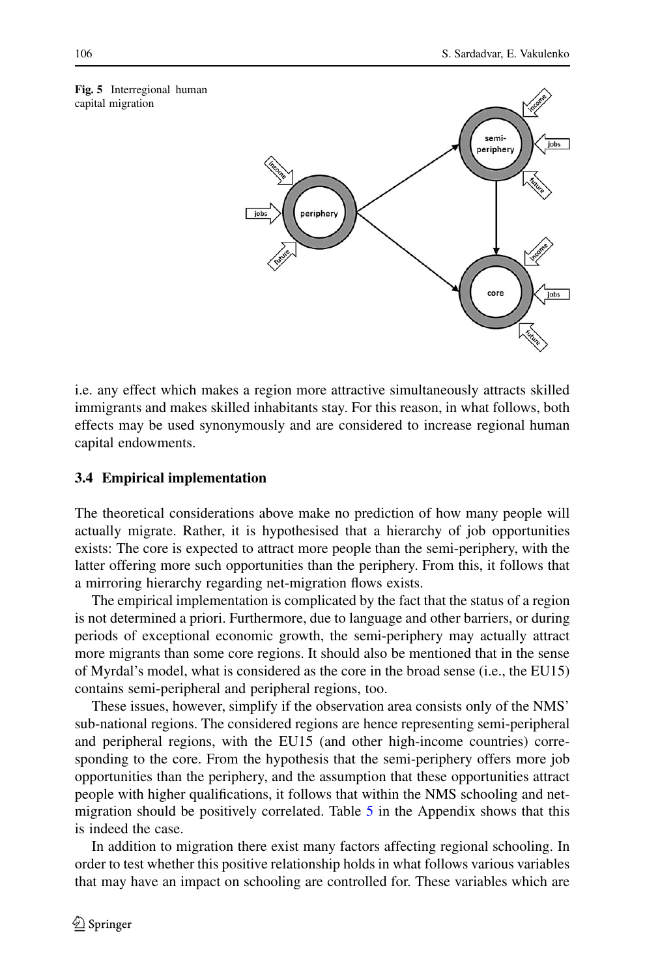<span id="page-11-0"></span>



i.e. any effect which makes a region more attractive simultaneously attracts skilled immigrants and makes skilled inhabitants stay. For this reason, in what follows, both effects may be used synonymously and are considered to increase regional human capital endowments.

# **3.4 Empirical implementation**

The theoretical considerations above make no prediction of how many people will actually migrate. Rather, it is hypothesised that a hierarchy of job opportunities exists: The core is expected to attract more people than the semi-periphery, with the latter offering more such opportunities than the periphery. From this, it follows that a mirroring hierarchy regarding net-migration flows exists.

The empirical implementation is complicated by the fact that the status of a region is not determined a priori. Furthermore, due to language and other barriers, or during periods of exceptional economic growth, the semi-periphery may actually attract more migrants than some core regions. It should also be mentioned that in the sense of Myrdal's model, what is considered as the core in the broad sense (i.e., the EU15) contains semi-peripheral and peripheral regions, too.

These issues, however, simplify if the observation area consists only of the NMS' sub-national regions. The considered regions are hence representing semi-peripheral and peripheral regions, with the EU15 (and other high-income countries) corresponding to the core. From the hypothesis that the semi-periphery offers more job opportunities than the periphery, and the assumption that these opportunities attract people with higher qualifications, it follows that within the NMS schooling and netmigration should be positively correlated. Table [5](#page-25-0) in the Appendix shows that this is indeed the case.

In addition to migration there exist many factors affecting regional schooling. In order to test whether this positive relationship holds in what follows various variables that may have an impact on schooling are controlled for. These variables which are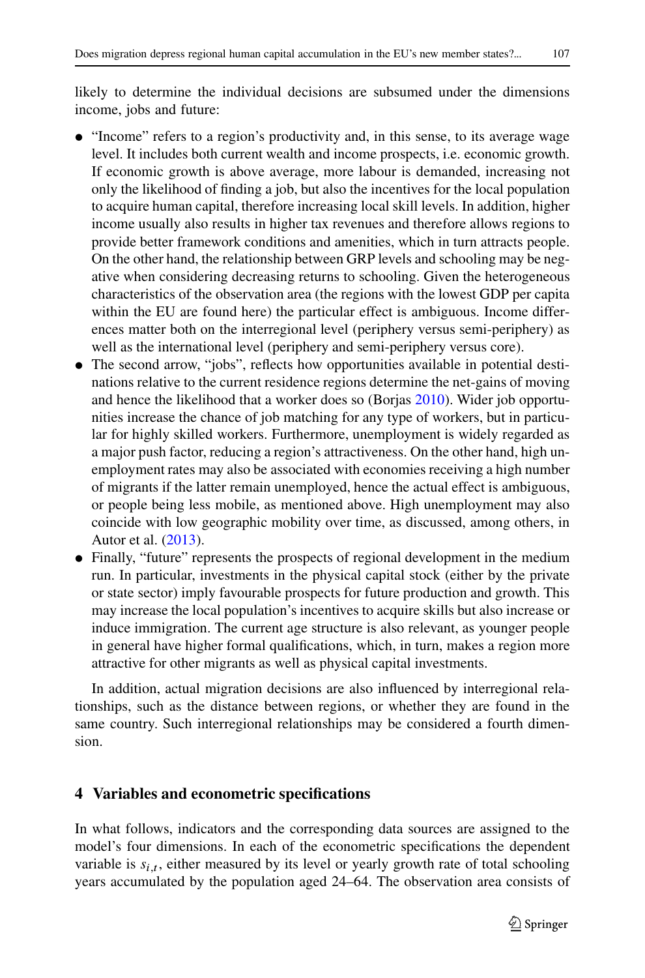likely to determine the individual decisions are subsumed under the dimensions income, jobs and future:

- "Income" refers to a region's productivity and, in this sense, to its average wage level. It includes both current wealth and income prospects, i.e. economic growth. If economic growth is above average, more labour is demanded, increasing not only the likelihood of finding a job, but also the incentives for the local population to acquire human capital, therefore increasing local skill levels. In addition, higher income usually also results in higher tax revenues and therefore allows regions to provide better framework conditions and amenities, which in turn attracts people. On the other hand, the relationship between GRP levels and schooling may be negative when considering decreasing returns to schooling. Given the heterogeneous characteristics of the observation area (the regions with the lowest GDP per capita within the EU are found here) the particular effect is ambiguous. Income differences matter both on the interregional level (periphery versus semi-periphery) as well as the international level (periphery and semi-periphery versus core).
- The second arrow, "jobs", reflects how opportunities available in potential destinations relative to the current residence regions determine the net-gains of moving and hence the likelihood that a worker does so (Borjas [2010\)](#page-26-8). Wider job opportunities increase the chance of job matching for any type of workers, but in particular for highly skilled workers. Furthermore, unemployment is widely regarded as a major push factor, reducing a region's attractiveness. On the other hand, high unemployment rates may also be associated with economies receiving a high number of migrants if the latter remain unemployed, hence the actual effect is ambiguous, or people being less mobile, as mentioned above. High unemployment may also coincide with low geographic mobility over time, as discussed, among others, in Autor et al. [\(2013\)](#page-26-19).
- Finally, "future" represents the prospects of regional development in the medium run. In particular, investments in the physical capital stock (either by the private or state sector) imply favourable prospects for future production and growth. This may increase the local population's incentives to acquire skills but also increase or induce immigration. The current age structure is also relevant, as younger people in general have higher formal qualifications, which, in turn, makes a region more attractive for other migrants as well as physical capital investments.

In addition, actual migration decisions are also influenced by interregional relationships, such as the distance between regions, or whether they are found in the same country. Such interregional relationships may be considered a fourth dimension.

# **4 Variables and econometric specifications**

In what follows, indicators and the corresponding data sources are assigned to the model's four dimensions. In each of the econometric specifications the dependent variable is  $s_{i,t}$ , either measured by its level or yearly growth rate of total schooling years accumulated by the population aged 24–64. The observation area consists of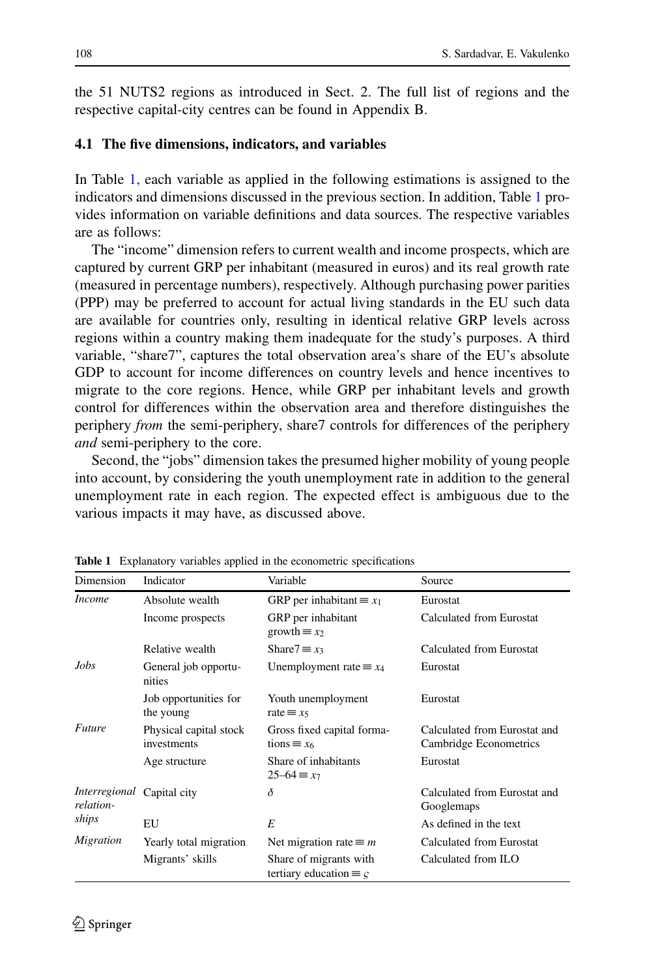the 51 NUTS2 regions as introduced in Sect. 2. The full list of regions and the respective capital-city centres can be found in Appendix B.

## **4.1 The five dimensions, indicators, and variables**

In Table [1,](#page-13-0) each variable as applied in the following estimations is assigned to the indicators and dimensions discussed in the previous section. In addition, Table [1](#page-13-0) provides information on variable definitions and data sources. The respective variables are as follows:

The "income" dimension refers to current wealth and income prospects, which are captured by current GRP per inhabitant (measured in euros) and its real growth rate (measured in percentage numbers), respectively. Although purchasing power parities (PPP) may be preferred to account for actual living standards in the EU such data are available for countries only, resulting in identical relative GRP levels across regions within a country making them inadequate for the study's purposes. A third variable, "share7", captures the total observation area's share of the EU's absolute GDP to account for income differences on country levels and hence incentives to migrate to the core regions. Hence, while GRP per inhabitant levels and growth control for differences within the observation area and therefore distinguishes the periphery *from* the semi-periphery, share7 controls for differences of the periphery *and* semi-periphery to the core.

Second, the "jobs" dimension takes the presumed higher mobility of young people into account, by considering the youth unemployment rate in addition to the general unemployment rate in each region. The expected effect is ambiguous due to the various impacts it may have, as discussed above.

| Dimension                  | Indicator                             | Variable                                                        | Source                                                 |
|----------------------------|---------------------------------------|-----------------------------------------------------------------|--------------------------------------------------------|
| <i>Income</i>              | Absolute wealth                       | GRP per inhabitant $\equiv x_1$                                 | Eurostat                                               |
|                            | Income prospects                      | GRP per inhabitant<br>growth $\equiv x_2$                       | Calculated from Eurostat                               |
|                            | Relative wealth                       | Share $7 \equiv x_3$                                            | Calculated from Eurostat                               |
| Jobs                       | General job opportu-<br>nities        | Unemployment rate $\equiv x_4$                                  | Eurostat                                               |
|                            | Job opportunities for<br>the young    | Youth unemployment<br>rate $\equiv x_5$                         | Eurostat                                               |
| <b>Future</b>              | Physical capital stock<br>investments | Gross fixed capital forma-<br>$tions \equiv x_6$                | Calculated from Eurostat and<br>Cambridge Econometrics |
|                            | Age structure                         | Share of inhabitants<br>$25 - 64 \equiv x7$                     | Eurostat                                               |
| Interregional<br>relation- | Capital city                          | δ                                                               | Calculated from Eurostat and<br>Googlemaps             |
| ships                      | EU                                    | E                                                               | As defined in the text                                 |
| Migration                  | Yearly total migration                | Net migration rate $\equiv m$                                   | Calculated from Eurostat                               |
|                            | Migrants' skills                      | Share of migrants with<br>tertiary education $\equiv \varsigma$ | Calculated from ILO                                    |

<span id="page-13-0"></span>**Table 1** Explanatory variables applied in the econometric specifications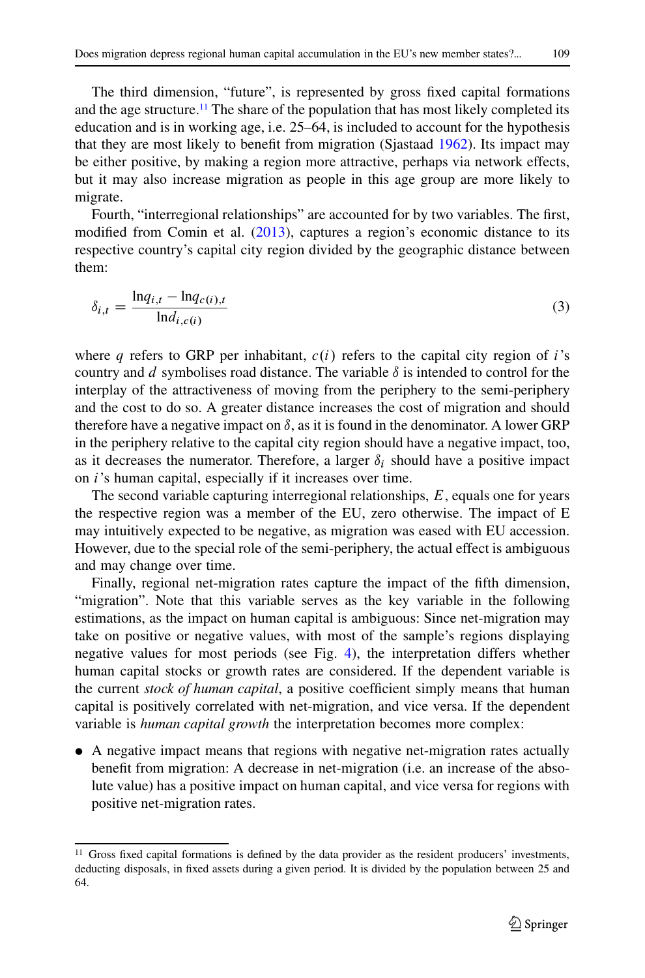The third dimension, "future", is represented by gross fixed capital formations and the age structure.<sup>11</sup> The share of the population that has most likely completed its education and is in working age, i.e. 25–64, is included to account for the hypothesis that they are most likely to benefit from migration (Sjastaad [1962\)](#page-27-10). Its impact may be either positive, by making a region more attractive, perhaps via network effects, but it may also increase migration as people in this age group are more likely to migrate.

Fourth, "interregional relationships" are accounted for by two variables. The first, modified from Comin et al. [\(2013\)](#page-26-20), captures a region's economic distance to its respective country's capital city region divided by the geographic distance between them:

$$
\delta_{i,t} = \frac{\ln q_{i,t} - \ln q_{c(i),t}}{\ln d_{i,c(i)}}
$$
\n(3)

where q refers to GRP per inhabitant,  $c(i)$  refers to the capital city region of i's country and  $d$  symbolises road distance. The variable  $\delta$  is intended to control for the interplay of the attractiveness of moving from the periphery to the semi-periphery and the cost to do so. A greater distance increases the cost of migration and should therefore have a negative impact on  $\delta$ , as it is found in the denominator. A lower GRP in the periphery relative to the capital city region should have a negative impact, too, as it decreases the numerator. Therefore, a larger  $\delta_i$  should have a positive impact on i's human capital, especially if it increases over time.

The second variable capturing interregional relationships,  $E$ , equals one for years the respective region was a member of the EU, zero otherwise. The impact of E may intuitively expected to be negative, as migration was eased with EU accession. However, due to the special role of the semi-periphery, the actual effect is ambiguous and may change over time.

Finally, regional net-migration rates capture the impact of the fifth dimension, "migration". Note that this variable serves as the key variable in the following estimations, as the impact on human capital is ambiguous: Since net-migration may take on positive or negative values, with most of the sample's regions displaying negative values for most periods (see Fig. [4\)](#page-9-0), the interpretation differs whether human capital stocks or growth rates are considered. If the dependent variable is the current *stock of human capital*, a positive coefficient simply means that human capital is positively correlated with net-migration, and vice versa. If the dependent variable is *human capital growth* the interpretation becomes more complex:

- A negative impact means that regions with negative net-migration rates actually benefit from migration: A decrease in net-migration (i.e. an increase of the absolute value) has a positive impact on human capital, and vice versa for regions with positive net-migration rates.

<span id="page-14-0"></span><sup>&</sup>lt;sup>11</sup> Gross fixed capital formations is defined by the data provider as the resident producers' investments, deducting disposals, in fixed assets during a given period. It is divided by the population between 25 and 64.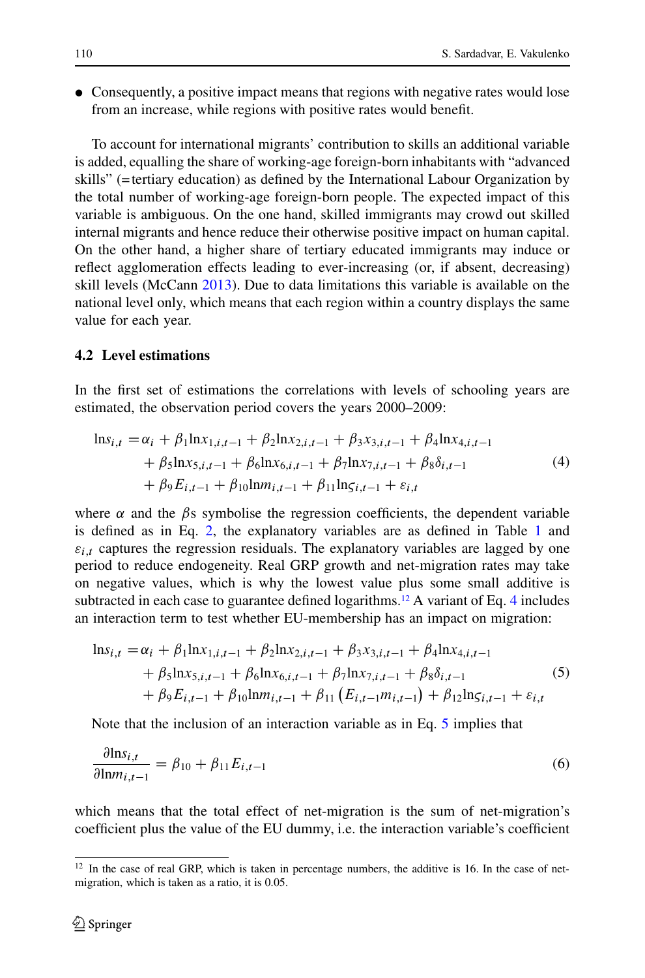• Consequently, a positive impact means that regions with negative rates would lose from an increase, while regions with positive rates would benefit.

To account for international migrants' contribution to skills an additional variable is added, equalling the share of working-age foreign-born inhabitants with "advanced skills" (=tertiary education) as defined by the International Labour Organization by the total number of working-age foreign-born people. The expected impact of this variable is ambiguous. On the one hand, skilled immigrants may crowd out skilled internal migrants and hence reduce their otherwise positive impact on human capital. On the other hand, a higher share of tertiary educated immigrants may induce or reflect agglomeration effects leading to ever-increasing (or, if absent, decreasing) skill levels (McCann [2013\)](#page-27-11). Due to data limitations this variable is available on the national level only, which means that each region within a country displays the same value for each year.

#### **4.2 Level estimations**

In the first set of estimations the correlations with levels of schooling years are estimated, the observation period covers the years 2000–2009:

<span id="page-15-1"></span>
$$
\ln s_{i,t} = \alpha_i + \beta_1 \ln x_{1,i,t-1} + \beta_2 \ln x_{2,i,t-1} + \beta_3 x_{3,i,t-1} + \beta_4 \ln x_{4,i,t-1} + \beta_5 \ln x_{5,i,t-1} + \beta_6 \ln x_{6,i,t-1} + \beta_7 \ln x_{7,i,t-1} + \beta_8 \delta_{i,t-1} + \beta_9 E_{i,t-1} + \beta_{10} \ln m_{i,t-1} + \beta_{11} \ln s_{i,t-1} + \varepsilon_{i,t}
$$
\n(4)

where  $\alpha$  and the  $\beta$ s symbolise the regression coefficients, the dependent variable is defined as in Eq. [2,](#page-6-4) the explanatory variables are as defined in Table [1](#page-13-0) and  $\varepsilon_{i,t}$  captures the regression residuals. The explanatory variables are lagged by one period to reduce endogeneity. Real GRP growth and net-migration rates may take on negative values, which is why the lowest value plus some small additive is subtracted in each case to guarantee defined logarithms.<sup>12</sup> A variant of Eq. [4](#page-15-1) includes an interaction term to test whether EU-membership has an impact on migration:

<span id="page-15-2"></span>
$$
\ln s_{i,t} = \alpha_i + \beta_1 \ln x_{1,i,t-1} + \beta_2 \ln x_{2,i,t-1} + \beta_3 x_{3,i,t-1} + \beta_4 \ln x_{4,i,t-1} + \beta_5 \ln x_{5,i,t-1} + \beta_6 \ln x_{6,i,t-1} + \beta_7 \ln x_{7,i,t-1} + \beta_8 \delta_{i,t-1} + \beta_9 E_{i,t-1} + \beta_{10} \ln m_{i,t-1} + \beta_{11} (E_{i,t-1} m_{i,t-1}) + \beta_{12} \ln s_{i,t-1} + \varepsilon_{i,t}
$$
\n(5)

Note that the inclusion of an interaction variable as in Eq. [5](#page-15-2) implies that

<span id="page-15-3"></span>
$$
\frac{\partial \text{ln}s_{i,t}}{\partial \text{ln}m_{i,t-1}} = \beta_{10} + \beta_{11}E_{i,t-1}
$$
\n(6)

which means that the total effect of net-migration is the sum of net-migration's coefficient plus the value of the EU dummy, i.e. the interaction variable's coefficient

<span id="page-15-0"></span><sup>&</sup>lt;sup>12</sup> In the case of real GRP, which is taken in percentage numbers, the additive is 16. In the case of netmigration, which is taken as a ratio, it is 0.05.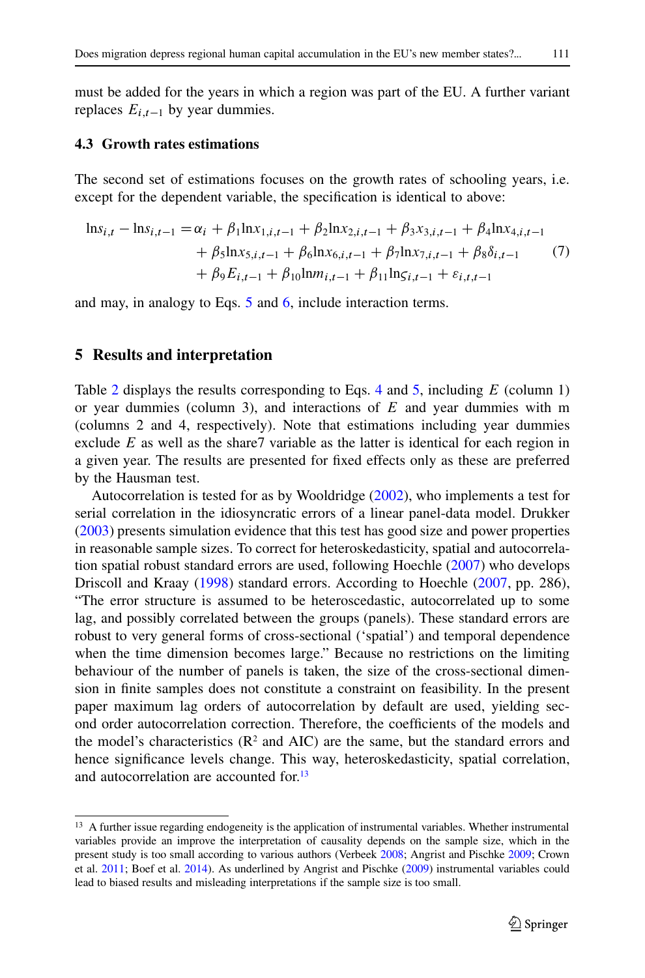must be added for the years in which a region was part of the EU. A further variant replaces  $E_{i,t-1}$  by year dummies.

## **4.3 Growth rates estimations**

The second set of estimations focuses on the growth rates of schooling years, i.e. except for the dependent variable, the specification is identical to above:

<span id="page-16-1"></span>
$$
\ln s_{i,t} - \ln s_{i,t-1} = \alpha_i + \beta_1 \ln x_{1,i,t-1} + \beta_2 \ln x_{2,i,t-1} + \beta_3 x_{3,i,t-1} + \beta_4 \ln x_{4,i,t-1} + \beta_5 \ln x_{5,i,t-1} + \beta_6 \ln x_{6,i,t-1} + \beta_7 \ln x_{7,i,t-1} + \beta_8 \delta_{i,t-1} + \beta_9 E_{i,t-1} + \beta_{10} \ln m_{i,t-1} + \beta_{11} \ln s_{i,t-1} + \varepsilon_{i,t,t-1}
$$
 (7)

and may, in analogy to Eqs. [5](#page-15-2) and [6,](#page-15-3) include interaction terms.

## **5 Results and interpretation**

Table [2](#page-17-0) displays the results corresponding to Eqs. [4](#page-15-1) and [5,](#page-15-2) including  $E$  (column 1) or year dummies (column 3), and interactions of  $E$  and year dummies with m (columns 2 and 4, respectively). Note that estimations including year dummies exclude  $E$  as well as the share7 variable as the latter is identical for each region in a given year. The results are presented for fixed effects only as these are preferred by the Hausman test.

Autocorrelation is tested for as by Wooldridge [\(2002\)](#page-27-12), who implements a test for serial correlation in the idiosyncratic errors of a linear panel-data model. Drukker [\(2003\)](#page-26-21) presents simulation evidence that this test has good size and power properties in reasonable sample sizes. To correct for heteroskedasticity, spatial and autocorrelation spatial robust standard errors are used, following Hoechle [\(2007\)](#page-26-22) who develops Driscoll and Kraay [\(1998\)](#page-26-23) standard errors. According to Hoechle [\(2007,](#page-26-22) pp. 286), "The error structure is assumed to be heteroscedastic, autocorrelated up to some lag, and possibly correlated between the groups (panels). These standard errors are robust to very general forms of cross-sectional ('spatial') and temporal dependence when the time dimension becomes large." Because no restrictions on the limiting behaviour of the number of panels is taken, the size of the cross-sectional dimension in finite samples does not constitute a constraint on feasibility. In the present paper maximum lag orders of autocorrelation by default are used, yielding second order autocorrelation correction. Therefore, the coefficients of the models and the model's characteristics  $(R^2 \text{ and } AIC)$  are the same, but the standard errors and hence significance levels change. This way, heteroskedasticity, spatial correlation, and autocorrelation are accounted for.<sup>13</sup>

<span id="page-16-0"></span><sup>&</sup>lt;sup>13</sup> A further issue regarding endogeneity is the application of instrumental variables. Whether instrumental variables provide an improve the interpretation of causality depends on the sample size, which in the present study is too small according to various authors (Verbeek [2008;](#page-27-13) Angrist and Pischke [2009;](#page-26-24) Crown et al. [2011;](#page-26-25) Boef et al. [2014\)](#page-26-26). As underlined by Angrist and Pischke [\(2009\)](#page-26-24) instrumental variables could lead to biased results and misleading interpretations if the sample size is too small.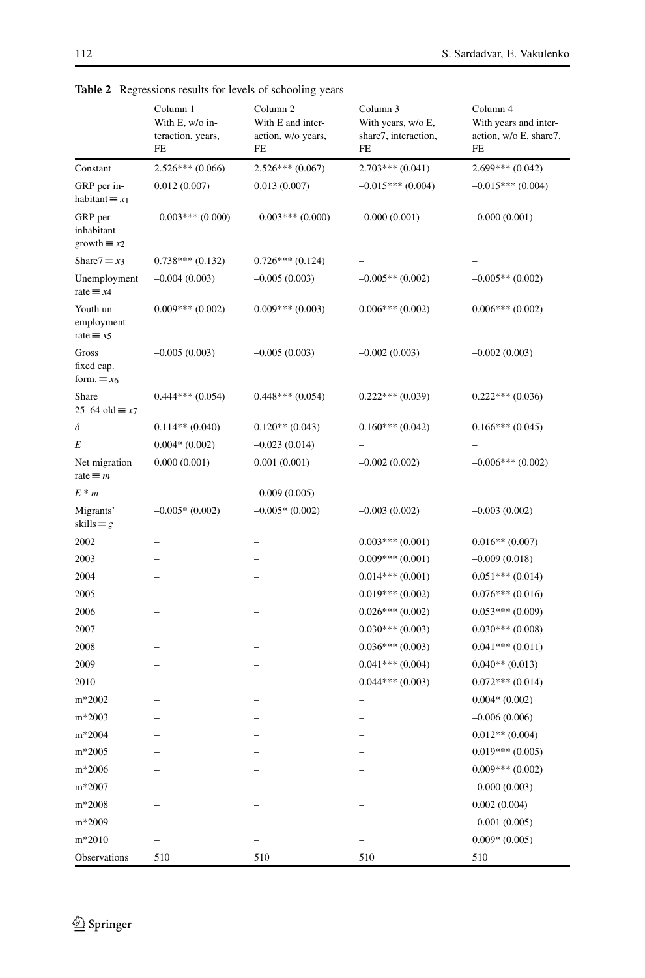|                                              | Column 1<br>With E, w/o in-<br>teraction, years,<br>FE | Column 2<br>With E and inter-<br>action, w/o years,<br>FE | Column 3<br>With years, w/o E,<br>share7, interaction,<br>FE | Column 4<br>With years and inter-<br>action, w/o E, share7,<br>FE |
|----------------------------------------------|--------------------------------------------------------|-----------------------------------------------------------|--------------------------------------------------------------|-------------------------------------------------------------------|
| Constant                                     | $2.526***(0.066)$                                      | $2.526***(0.067)$                                         | $2.703***(0.041)$                                            | $2.699***(0.042)$                                                 |
| GRP per in-<br>habitant $\equiv x_1$         | 0.012(0.007)                                           | 0.013(0.007)                                              | $-0.015***(0.004)$                                           | $-0.015***(0.004)$                                                |
| GRP per<br>inhabitant<br>growth $\equiv x_2$ | $-0.003***$ (0.000)                                    | $-0.003***(0.000)$                                        | $-0.000(0.001)$                                              | $-0.000(0.001)$                                                   |
| Share $7 \equiv x_3$                         | $0.738***(0.132)$                                      | $0.726***(0.124)$                                         |                                                              |                                                                   |
| Unemployment<br>rate $\equiv x4$             | $-0.004(0.003)$                                        | $-0.005(0.003)$                                           | $-0.005**$ (0.002)                                           | $-0.005**$ (0.002)                                                |
| Youth un-<br>employment<br>rate $\equiv x5$  | $0.009***$ (0.002)                                     | $0.009***(0.003)$                                         | $0.006***(0.002)$                                            | $0.006***(0.002)$                                                 |
| Gross<br>fixed cap.<br>form. $\equiv x_6$    | $-0.005(0.003)$                                        | $-0.005(0.003)$                                           | $-0.002(0.003)$                                              | $-0.002(0.003)$                                                   |
| Share<br>$25-64$ old $\equiv x7$             | $0.444***(0.054)$                                      | $0.448***(0.054)$                                         | $0.222***(0.039)$                                            | $0.222***(0.036)$                                                 |
| δ                                            | $0.114**$ (0.040)                                      | $0.120**$ (0.043)                                         | $0.160***(0.042)$                                            | $0.166***(0.045)$                                                 |
| E                                            | $0.004*(0.002)$                                        | $-0.023(0.014)$                                           |                                                              |                                                                   |
| Net migration<br>rate $\equiv$ <i>m</i>      | 0.000(0.001)                                           | 0.001(0.001)                                              | $-0.002(0.002)$                                              | $-0.006***(0.002)$                                                |
| $E^*m$                                       |                                                        | $-0.009(0.005)$                                           |                                                              |                                                                   |
| Migrants'<br>skills $\equiv \varsigma$       | $-0.005*(0.002)$                                       | $-0.005*(0.002)$                                          | $-0.003(0.002)$                                              | $-0.003(0.002)$                                                   |
| 2002                                         |                                                        |                                                           | $0.003***(0.001)$                                            | $0.016**$ (0.007)                                                 |
| 2003                                         |                                                        |                                                           | $0.009***(0.001)$                                            | $-0.009(0.018)$                                                   |
| 2004                                         |                                                        |                                                           | $0.014***(0.001)$                                            | $0.051***(0.014)$                                                 |
| 2005                                         |                                                        |                                                           | $0.019***(0.002)$                                            | $0.076***(0.016)$                                                 |
| 2006                                         |                                                        |                                                           | $0.026***(0.002)$                                            | $0.053***(0.009)$                                                 |
| 2007                                         |                                                        |                                                           | $0.030***(0.003)$                                            | $0.030***(0.008)$                                                 |
| 2008                                         |                                                        |                                                           | $0.036***(0.003)$                                            | $0.041***(0.011)$                                                 |
| 2009                                         |                                                        |                                                           | $0.041***(0.004)$                                            | $0.040**$ (0.013)                                                 |
| 2010                                         |                                                        |                                                           | $0.044***(0.003)$                                            | $0.072***(0.014)$                                                 |
| m*2002                                       |                                                        |                                                           |                                                              | $0.004*(0.002)$                                                   |
| m*2003                                       |                                                        |                                                           |                                                              | $-0.006(0.006)$                                                   |
| m*2004                                       |                                                        |                                                           |                                                              | $0.012**$ (0.004)                                                 |
| $m*2005$                                     |                                                        |                                                           |                                                              | $0.019***(0.005)$                                                 |
| m*2006                                       |                                                        |                                                           |                                                              | $0.009***(0.002)$                                                 |
| m*2007                                       |                                                        |                                                           |                                                              | $-0.000(0.003)$                                                   |
| m*2008                                       |                                                        |                                                           |                                                              | 0.002(0.004)                                                      |
| m*2009                                       |                                                        |                                                           |                                                              | $-0.001(0.005)$                                                   |
| m*2010                                       |                                                        |                                                           |                                                              | $0.009*(0.005)$                                                   |
| Observations                                 | 510                                                    | 510                                                       | 510                                                          | 510                                                               |

<span id="page-17-0"></span>**Table 2** Regressions results for levels of schooling years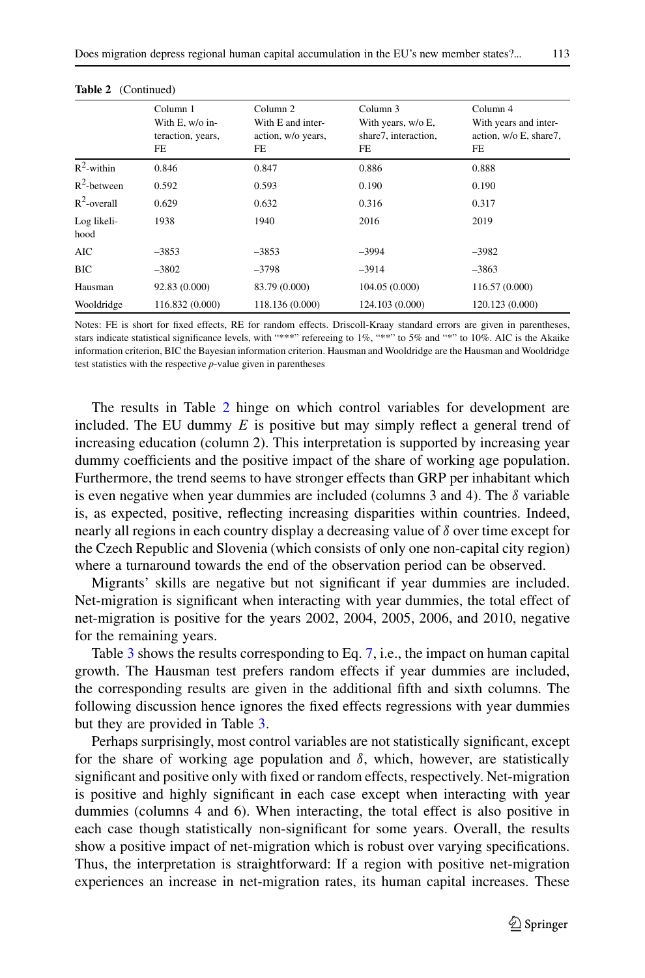| <br>. |  |  |
|-------|--|--|
|       |  |  |

|                     | Column 1<br>With E, w/o in-<br>teraction, years,<br>FE | Column 2<br>With E and inter-<br>action, w/o years,<br>FE | Column 3<br>With years, w/o E,<br>share7, interaction,<br>FE | Column 4<br>With years and inter-<br>action, w/o E, share7,<br>FE |
|---------------------|--------------------------------------------------------|-----------------------------------------------------------|--------------------------------------------------------------|-------------------------------------------------------------------|
| $R^2$ -within       | 0.846                                                  | 0.847                                                     | 0.886                                                        | 0.888                                                             |
| $R^2$ -between      | 0.592                                                  | 0.593                                                     | 0.190                                                        | 0.190                                                             |
| $R^2$ -overall      | 0.629                                                  | 0.632                                                     | 0.316                                                        | 0.317                                                             |
| Log likeli-<br>hood | 1938                                                   | 1940                                                      | 2016                                                         | 2019                                                              |
| AIC                 | $-3853$                                                | $-3853$                                                   | $-3994$                                                      | $-3982$                                                           |
| <b>BIC</b>          | $-3802$                                                | $-3798$                                                   | $-3914$                                                      | $-3863$                                                           |
| Hausman             | 92.83 (0.000)                                          | 83.79 (0.000)                                             | 104.05 (0.000)                                               | 116.57 (0.000)                                                    |
| Wooldridge          | 116.832 (0.000)                                        | 118.136 (0.000)                                           | 124.103 (0.000)                                              | 120.123 (0.000)                                                   |

**Table 2** (Continued)

Notes: FE is short for fixed effects, RE for random effects. Driscoll-Kraay standard errors are given in parentheses, stars indicate statistical significance levels, with "\*\*\*" refereeing to 1%, "\*\*" to 5% and "\*" to 10%. AIC is the Akaike information criterion, BIC the Bayesian information criterion. Hausman and Wooldridge are the Hausman and Wooldridge test statistics with the respective *p*-value given in parentheses

The results in Table [2](#page-17-0) hinge on which control variables for development are included. The EU dummy  $E$  is positive but may simply reflect a general trend of increasing education (column 2). This interpretation is supported by increasing year dummy coefficients and the positive impact of the share of working age population. Furthermore, the trend seems to have stronger effects than GRP per inhabitant which is even negative when year dummies are included (columns 3 and 4). The  $\delta$  variable is, as expected, positive, reflecting increasing disparities within countries. Indeed, nearly all regions in each country display a decreasing value of  $\delta$  over time except for the Czech Republic and Slovenia (which consists of only one non-capital city region) where a turnaround towards the end of the observation period can be observed.

Migrants' skills are negative but not significant if year dummies are included. Net-migration is significant when interacting with year dummies, the total effect of net-migration is positive for the years 2002, 2004, 2005, 2006, and 2010, negative for the remaining years.

Table [3](#page-19-0) shows the results corresponding to Eq. [7,](#page-16-1) i.e., the impact on human capital growth. The Hausman test prefers random effects if year dummies are included, the corresponding results are given in the additional fifth and sixth columns. The following discussion hence ignores the fixed effects regressions with year dummies but they are provided in Table [3.](#page-19-0)

Perhaps surprisingly, most control variables are not statistically significant, except for the share of working age population and  $\delta$ , which, however, are statistically significant and positive only with fixed or random effects, respectively. Net-migration is positive and highly significant in each case except when interacting with year dummies (columns 4 and 6). When interacting, the total effect is also positive in each case though statistically non-significant for some years. Overall, the results show a positive impact of net-migration which is robust over varying specifications. Thus, the interpretation is straightforward: If a region with positive net-migration experiences an increase in net-migration rates, its human capital increases. These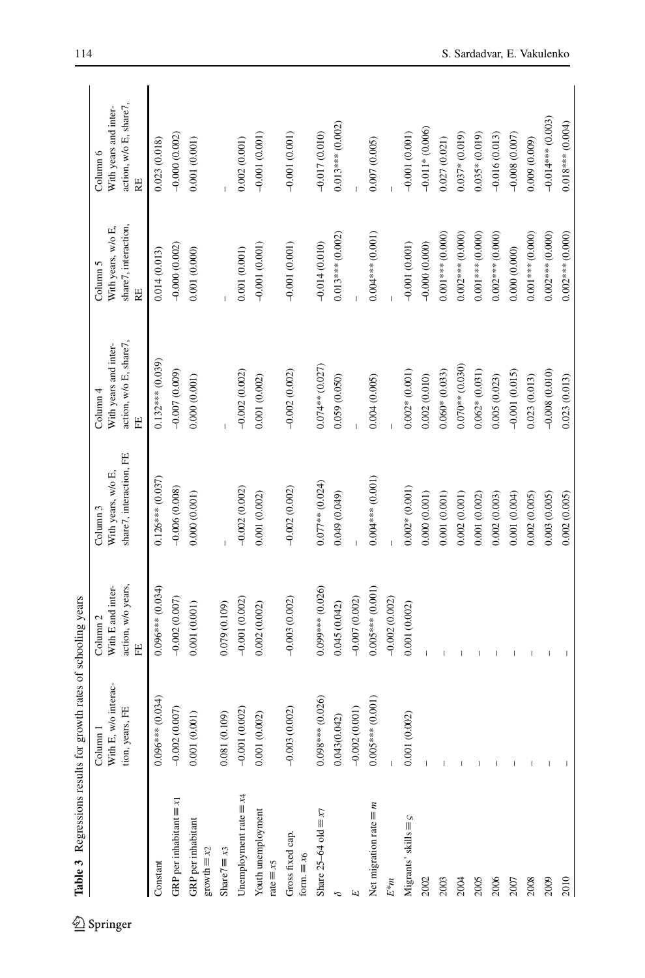| Table 3 Regressions results for growth rates of schooling years |                                                                |                                                                     |                                                                      |                                                                  |                                                              |                                                                   |
|-----------------------------------------------------------------|----------------------------------------------------------------|---------------------------------------------------------------------|----------------------------------------------------------------------|------------------------------------------------------------------|--------------------------------------------------------------|-------------------------------------------------------------------|
|                                                                 | With E, w/o interac-<br>tion, years, FE<br>Column <sub>1</sub> | action, w/o years,<br>With E and inter-<br>Column <sub>2</sub><br>띹 | share7, interaction, FE<br>With years, w/o E,<br>Column <sub>3</sub> | action, w/o E, share7,<br>With years and inter-<br>Column 4<br>띹 | share7, interaction,<br>With years, w/o E,<br>Column 5<br>RE | action, w/o E, share7,<br>With years and inter-<br>Column 6<br>RE |
| Constant                                                        | $0.096***$ (0.034)                                             | $0.096***(0.034)$                                                   | $0.126***$ (0.037)                                                   | $0.132***$ (0.039)                                               | 0.014(0.013)                                                 | 0.023 (0.018)                                                     |
| GRP per inhabitant $\equiv x_1$                                 | $-0.002(0.007)$                                                | $-0.002(0.007)$                                                     | $-0.006(0.008)$                                                      | $-0.007(0.009)$                                                  | $-0.000(0.002)$                                              | $-0.000(0.002)$                                                   |
| GRP per inhabitant<br>growth $\equiv x_2$                       | 0.001(0.001)                                                   | 0.001(0.001)                                                        | 0.000(0.001)                                                         | 0.000(0.001)                                                     | 0.001(0.000)                                                 | 0.001 (0.001)                                                     |
| Share $7 \equiv x_3$                                            | 0.081(0.109)                                                   | 0.079(0.109)                                                        |                                                                      |                                                                  |                                                              |                                                                   |
| Unemployment rate $\equiv x4$                                   | $(0.002)$<br>$-0.001$                                          | $-0.001(0.002)$                                                     | $-0.002(0.002)$                                                      | $-0.002(0.002)$                                                  | 0.001(0.001)                                                 | 0.002(0.001)                                                      |
| Youth unemployment<br>$rate \equiv x5$                          | 0.001(0.002)                                                   | 0.002(0.002)                                                        | 0.001(0.002)                                                         | 0.001 (0.002)                                                    | $-0.001(0.001)$                                              | $-0.001(0.001)$                                                   |
| Gross fixed cap.<br>form. $\equiv x_6$                          | (0.002)<br>$-0.003$                                            | $-0.003(0.002)$                                                     | $-0.002(0.002)$                                                      | $-0.002(0.002)$                                                  | $-0.001(0.001)$                                              | $-0.001(0.001)$                                                   |
| Share $25-64$ old $\equiv x7$                                   | $0.098***$ (0.026)                                             | $0.099***$ (0.026)                                                  | $0.077**$ (0.024)                                                    | $0.074**$ (0.027)                                                | $-0.014(0.010)$                                              | $-0.017(0.010)$                                                   |
|                                                                 | 0.043(0.042)                                                   | 0.045(0.042)                                                        | 0.040 (0.049)                                                        | 0.059(0.050)                                                     | $0.013***$ $(0.002)$                                         | $0.013***$ (0.002)                                                |
| E                                                               | $-0.002(0.001)$                                                | $-0.007(0.002)$                                                     |                                                                      |                                                                  |                                                              |                                                                   |
| Net migration rate $\equiv m$                                   | $0.005***$ (0.001)                                             | $0.005***$ (0.001)                                                  | $0.004***$ (0.001)                                                   | 0.004(0.005)                                                     | $0.004***$ (0.001)                                           | 0.007 (0.005)                                                     |
| $E^*m$                                                          |                                                                | $-0.002(0.002)$                                                     |                                                                      |                                                                  |                                                              |                                                                   |
| Migrants' skills $\equiv$ $S$                                   | (0.002)<br>0.001                                               | 0.001(0.002)                                                        | $0.002*(0.001)$                                                      | $0.002*(0.001)$                                                  | $-0.001(0.001)$                                              | $-0.001(0.001)$                                                   |
| 2002                                                            |                                                                |                                                                     | 0.000(0.001)                                                         | 0.002(0.010)                                                     | $-0.000(0.000)$                                              | $-0.011*(0.006)$                                                  |
| 2003                                                            |                                                                |                                                                     | 0.001(0.001)                                                         | $0.060*(0.033)$                                                  | $0.001***$ (0.000)                                           | 0.027(0.021)                                                      |
| 2004                                                            |                                                                |                                                                     | 0.002(0.001)                                                         | $0.070**$ (0.030)                                                | $0.002***$ (0.000)                                           | $0.037*(0.019)$                                                   |
| 2005                                                            |                                                                |                                                                     | 0.001(0.002)                                                         | $0.062*(0.031)$                                                  | $0.001***$ (0.000)                                           | $0.035*(0.019)$                                                   |
| 2006                                                            |                                                                |                                                                     | 0.002(0.003)                                                         | 0.005(0.023)                                                     | $0.002***$ (0.000)                                           | $-0.016(0.013)$                                                   |
| 2007                                                            |                                                                |                                                                     | 0.001(0.004)                                                         | $-0.001(0.015)$                                                  | 0.000(0.000)                                                 | $-0.008(0.007)$                                                   |
| 2008                                                            |                                                                |                                                                     | 0.002(0.005)                                                         | 0.023(0.013)                                                     | $0.001***$ (0.000)                                           | 0.009(0.009)                                                      |
| 2009                                                            |                                                                |                                                                     | 0.003(0.005)                                                         | $-0.008(0.010)$                                                  | $0.002***$ (0.000)                                           | $-0.014***$ (0.003)                                               |
| 2010                                                            |                                                                |                                                                     | 0.002(0.005)                                                         | 0.023(0.013)                                                     | $0.002***$ (0.000)                                           | $0.018***$ (0.004)                                                |

<span id="page-19-0"></span> $\underline{\textcircled{\tiny 2}}$  Springer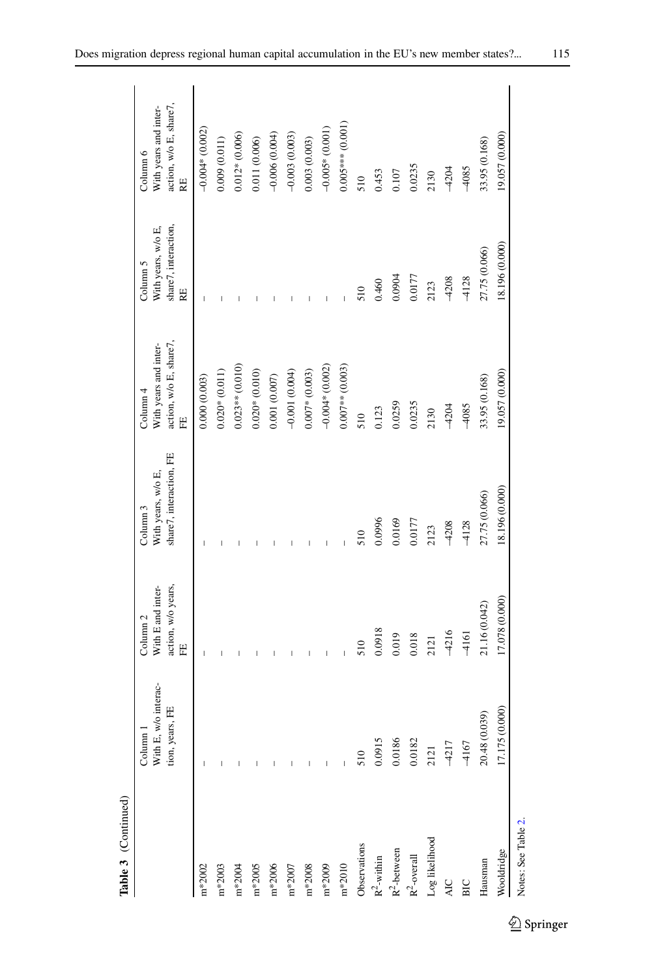| Table 3 (Continued)  |                                                                |                                                                     |                                                                      |                                                                             |                                                              |                                                                   |
|----------------------|----------------------------------------------------------------|---------------------------------------------------------------------|----------------------------------------------------------------------|-----------------------------------------------------------------------------|--------------------------------------------------------------|-------------------------------------------------------------------|
|                      | With E, w/o interac-<br>tion, years, FE<br>Column <sub>1</sub> | action, w/o years,<br>With E and inter-<br>Column <sub>2</sub><br>띹 | share7, interaction, FE<br>With years, w/o E,<br>Column <sub>3</sub> | action, w/o E, share7,<br>With years and inter-<br>Column <sub>4</sub><br>Ë | share7, interaction,<br>With years, w/o E,<br>Column 5<br>RE | action, w/o E, share7,<br>With years and inter-<br>Column 6<br>RE |
| $m*2002$             |                                                                | I                                                                   | I                                                                    | 0.000(0.003)                                                                | I                                                            | $-0.004*(0.002)$                                                  |
| $\mathrm{m}^{*2003}$ |                                                                |                                                                     |                                                                      | $0.020*(0.011)$                                                             |                                                              | 0.009(0.011)                                                      |
| $m*2004$             |                                                                |                                                                     |                                                                      | $0.023**$ (0.010)                                                           |                                                              | $0.012*(0.006)$                                                   |
| $\mathrm{m}*2005$    |                                                                |                                                                     |                                                                      | $0.020*(0.010)$                                                             |                                                              | 0.011 (0.006)                                                     |
| $\mathrm{m}^{*2006}$ |                                                                |                                                                     |                                                                      | 0.001(0.007)                                                                |                                                              | $-0.006(0.004)$                                                   |
| $\rm m*2007$         |                                                                |                                                                     |                                                                      | $-0.001(0.004)$                                                             |                                                              | $-0.003(0.003)$                                                   |
| $\rm m*2008$         |                                                                |                                                                     |                                                                      | $0.007*(0.003)$                                                             |                                                              | 0.003(0.003)                                                      |
| $m*2009$             |                                                                |                                                                     | I                                                                    | $-0.004*$ (0.002)                                                           |                                                              | $-0.005*(0.001)$                                                  |
| $m*2010$             |                                                                |                                                                     | Ï                                                                    | $0.007**$ (0.003)                                                           | Ï                                                            | $0.005***$ (0.001)                                                |
| Observations         | 510                                                            | 510                                                                 | 510                                                                  | 510                                                                         | 510                                                          | 510                                                               |
| $R^2$ -within        | 0.0915                                                         | 0.0918                                                              | 0.0996                                                               | 0.123                                                                       | 0.460                                                        | 0.453                                                             |
| $R^2$ -between       | 0.0186                                                         | 0.019                                                               | 0.0169                                                               | 0.0259                                                                      | 0.0904                                                       | 0.107                                                             |
| $R^2$ -overall       | 0.0182                                                         | 0.018                                                               | 0.0177                                                               | 0.0235                                                                      | 0.0177                                                       | 0.0235                                                            |
| Log likelihood       | 2121                                                           | 2121                                                                | 2123                                                                 | 2130                                                                        | 2123                                                         | 2130                                                              |
| AIC                  | $-4217$                                                        | $-4216$                                                             | $-4208$                                                              | $-4204$                                                                     | $-4208$                                                      | $-4204$                                                           |
| ВIС                  | $-4167$                                                        | $-4161$                                                             | $-4128$                                                              | $-4085$                                                                     | $-4128$                                                      | $-4085$                                                           |
| Hausman              | (0.039)<br>20.48                                               | 21.16 (0.042)                                                       | 27.75 (0.066)                                                        | 33.95 (0.168)                                                               | 27.75 (0.066)                                                | 33.95 (0.168)                                                     |
| Wooldridge           | 17.175 (0.000)                                                 | 17.078 (0.000)                                                      | 18.196 (0.000)                                                       | 19.057 (0.000)                                                              | 18.196 (0.000)                                               | 19.057 (0.000)                                                    |
| Notes: See Table 2.  |                                                                |                                                                     |                                                                      |                                                                             |                                                              |                                                                   |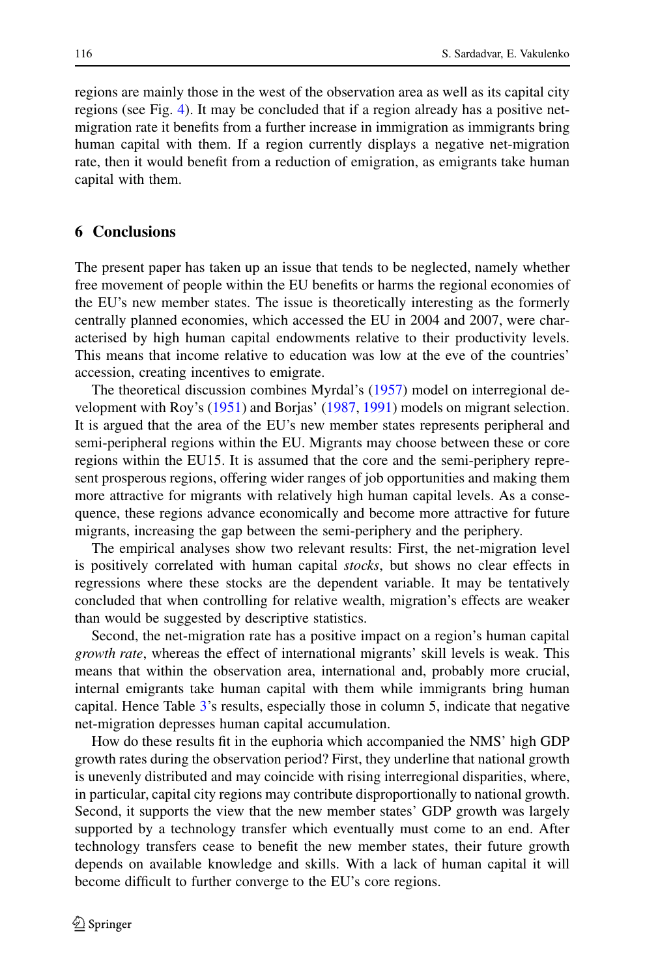regions are mainly those in the west of the observation area as well as its capital city regions (see Fig. [4\)](#page-9-0). It may be concluded that if a region already has a positive netmigration rate it benefits from a further increase in immigration as immigrants bring human capital with them. If a region currently displays a negative net-migration rate, then it would benefit from a reduction of emigration, as emigrants take human capital with them.

## **6 Conclusions**

The present paper has taken up an issue that tends to be neglected, namely whether free movement of people within the EU benefits or harms the regional economies of the EU's new member states. The issue is theoretically interesting as the formerly centrally planned economies, which accessed the EU in 2004 and 2007, were characterised by high human capital endowments relative to their productivity levels. This means that income relative to education was low at the eve of the countries' accession, creating incentives to emigrate.

The theoretical discussion combines Myrdal's [\(1957\)](#page-27-0) model on interregional development with Roy's [\(1951\)](#page-27-9) and Borjas' [\(1987,](#page-26-14) [1991\)](#page-26-15) models on migrant selection. It is argued that the area of the EU's new member states represents peripheral and semi-peripheral regions within the EU. Migrants may choose between these or core regions within the EU15. It is assumed that the core and the semi-periphery represent prosperous regions, offering wider ranges of job opportunities and making them more attractive for migrants with relatively high human capital levels. As a consequence, these regions advance economically and become more attractive for future migrants, increasing the gap between the semi-periphery and the periphery.

The empirical analyses show two relevant results: First, the net-migration level is positively correlated with human capital *stocks*, but shows no clear effects in regressions where these stocks are the dependent variable. It may be tentatively concluded that when controlling for relative wealth, migration's effects are weaker than would be suggested by descriptive statistics.

Second, the net-migration rate has a positive impact on a region's human capital *growth rate*, whereas the effect of international migrants' skill levels is weak. This means that within the observation area, international and, probably more crucial, internal emigrants take human capital with them while immigrants bring human capital. Hence Table [3'](#page-19-0)s results, especially those in column 5, indicate that negative net-migration depresses human capital accumulation.

How do these results fit in the euphoria which accompanied the NMS' high GDP growth rates during the observation period? First, they underline that national growth is unevenly distributed and may coincide with rising interregional disparities, where, in particular, capital city regions may contribute disproportionally to national growth. Second, it supports the view that the new member states' GDP growth was largely supported by a technology transfer which eventually must come to an end. After technology transfers cease to benefit the new member states, their future growth depends on available knowledge and skills. With a lack of human capital it will become difficult to further converge to the EU's core regions.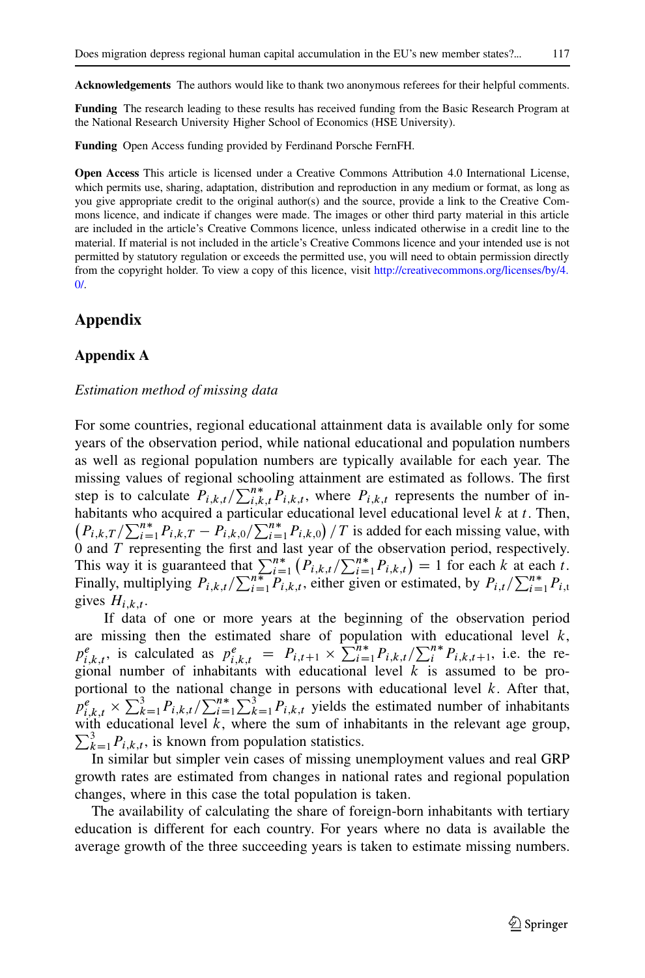**Acknowledgements** The authors would like to thank two anonymous referees for their helpful comments.

**Funding** The research leading to these results has received funding from the Basic Research Program at the National Research University Higher School of Economics (HSE University).

**Funding** Open Access funding provided by Ferdinand Porsche FernFH.

**Open Access** This article is licensed under a Creative Commons Attribution 4.0 International License, which permits use, sharing, adaptation, distribution and reproduction in any medium or format, as long as you give appropriate credit to the original author(s) and the source, provide a link to the Creative Commons licence, and indicate if changes were made. The images or other third party material in this article are included in the article's Creative Commons licence, unless indicated otherwise in a credit line to the material. If material is not included in the article's Creative Commons licence and your intended use is not permitted by statutory regulation or exceeds the permitted use, you will need to obtain permission directly from the copyright holder. To view a copy of this licence, visit [http://creativecommons.org/licenses/by/4.](http://creativecommons.org/licenses/by/4.0/)  $\Omega$ 

# **Appendix**

## **Appendix A**

#### *Estimation method of missing data*

For some countries, regional educational attainment data is available only for some years of the observation period, while national educational and population numbers as well as regional population numbers are typically available for each year. The missing values of regional schooling attainment are estimated as follows. The first step is to calculate  $P_{i,k,t}/\sum_{i,k,t}^{n*}P_{i,k,t}$ , where  $P_{i,k,t}$  represents the number of inhabitants who acquired a particular educational level educational level  $k$  at  $t$ . Then,  $\left(P_{i,k,T}/\sum_{i=1}^{n*}P_{i,k,T}-P_{i,k,0}/\sum_{i=1}^{n*}P_{i,k,0}\right)/T$  is added for each missing value, with 0 and T representing the first and last year of the observation period, respectively. This way it is guaranteed that  $\sum_{i=1}^{n*} (P_{i,k,t}/\sum_{i=1}^{n*} P_{i,k,t}) = 1$  for each k at each t. Finally, multiplying  $P_{i,k,t}/\sum_{i=1}^{n} P_{i,k,t}$ , either given or estimated, by  $P_{i,t}/\sum_{i=1}^{n*} P_{i,t}$ gives  $H_{i,k,t}$ .

If data of one or more years at the beginning of the observation period are missing then the estimated share of population with educational level  $k$ ,  $p_{i,k,t}^e$ , is calculated as  $p_{i,k,t}^e = P_{i,t+1} \times \sum_{i=1}^{n*} P_{i,k,t} / \sum_{i=1}^{n*} P_{i,k,t+1}$ , i.e. the regional number of inhabitants with educational level  $k$  is assumed to be proportional to the national change in persons with educational level  $k$ . After that,  $\rho_{i,k,t}^e \times \sum_{k=1}^3 P_{i,k,t} / \sum_{i=1}^{n*} \sum_{k=1}^3 P_{i,k,t}$  yields the estimated number of inhabitants with educational level k, where the sum of inhabitants in the relevant age group,  $\sum_{k=1}^{3} P_{i,k,t}$ , is known from population statistics.

In similar but simpler vein cases of missing unemployment values and real GRP growth rates are estimated from changes in national rates and regional population changes, where in this case the total population is taken.

The availability of calculating the share of foreign-born inhabitants with tertiary education is different for each country. For years where no data is available the average growth of the three succeeding years is taken to estimate missing numbers.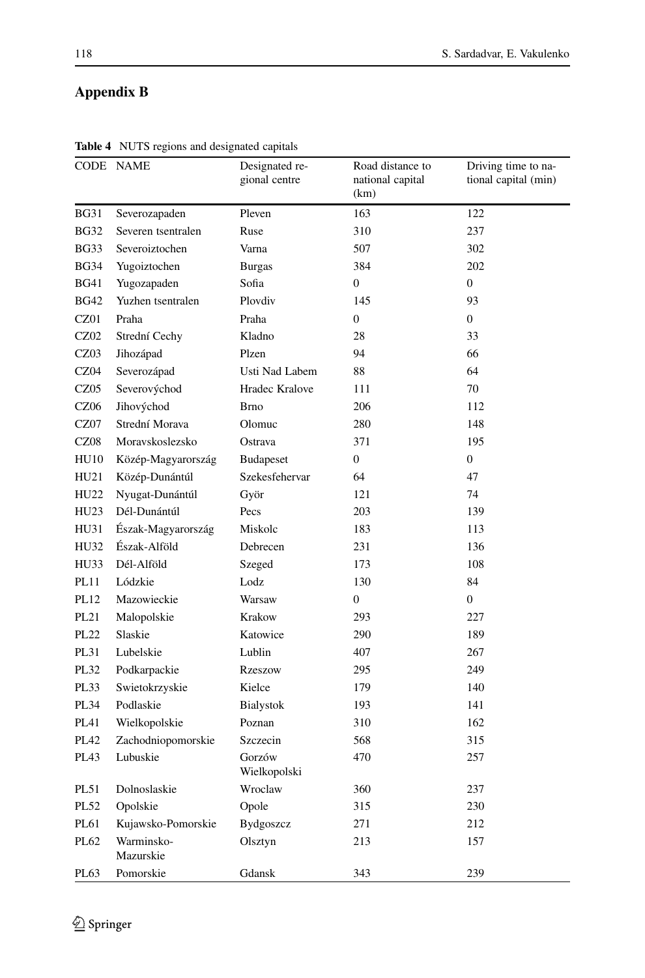# **Appendix B**

|             | CODE NAME               | Designated re-<br>gional centre | Road distance to<br>national capital<br>(km) | Driving time to na-<br>tional capital (min) |
|-------------|-------------------------|---------------------------------|----------------------------------------------|---------------------------------------------|
| <b>BG31</b> | Severozapaden           | Pleven                          | 163                                          | 122                                         |
| <b>BG32</b> | Severen tsentralen      | Ruse                            | 310                                          | 237                                         |
| BG33        | Severoiztochen          | Varna                           | 507                                          | 302                                         |
| <b>BG34</b> | Yugoiztochen            | <b>Burgas</b>                   | 384                                          | 202                                         |
| BG41        | Yugozapaden             | Sofia                           | $\overline{0}$                               | $\mathbf{0}$                                |
| <b>BG42</b> | Yuzhen tsentralen       | Plovdiv                         | 145                                          | 93                                          |
| CZ01        | Praha                   | Praha                           | $\boldsymbol{0}$                             | $\overline{0}$                              |
| CZ02        | Strední Cechy           | Kladno                          | 28                                           | 33                                          |
| CZ03        | Jihozápad               | Plzen                           | 94                                           | 66                                          |
| CZ04        | Severozápad             | Usti Nad Labem                  | 88                                           | 64                                          |
| CZ05        | Severovýchod            | Hradec Kralove                  | 111                                          | 70                                          |
| <b>CZ06</b> | Jihovýchod              | <b>Brno</b>                     | 206                                          | 112                                         |
| CZ07        | Strední Morava          | Olomuc                          | 280                                          | 148                                         |
| CZ08        | Moravskoslezsko         | Ostrava                         | 371                                          | 195                                         |
| <b>HU10</b> | Közép-Magyarország      | <b>Budapeset</b>                | $\mathbf{0}$                                 | $\boldsymbol{0}$                            |
| HU21        | Közép-Dunántúl          | Szekesfehervar                  | 64                                           | 47                                          |
| HU22        | Nyugat-Dunántúl         | Györ                            | 121                                          | 74                                          |
| HU23        | Dél-Dunántúl            | Pecs                            | 203                                          | 139                                         |
| HU31        | Észak-Magyarország      | Miskolc                         | 183                                          | 113                                         |
| HU32        | Észak-Alföld            | Debrecen                        | 231                                          | 136                                         |
| HU33        | Dél-Alföld              | Szeged                          | 173                                          | 108                                         |
| PL11        | Lódzkie                 | Lodz                            | 130                                          | 84                                          |
| PL12        | Mazowieckie             | Warsaw                          | $\mathbf{0}$                                 | $\overline{0}$                              |
| PL21        | Malopolskie             | Krakow                          | 293                                          | 227                                         |
| <b>PL22</b> | Slaskie                 | Katowice                        | 290                                          | 189                                         |
| PL31        | Lubelskie               | Lublin                          | 407                                          | 267                                         |
| PL32        | Podkarpackie            | <b>Rzeszow</b>                  | 295                                          | 249                                         |
| PL33        | Swietokrzyskie          | Kielce                          | 179                                          | 140                                         |
| PL34        | Podlaskie               | Bialystok                       | 193                                          | 141                                         |
| PL41        | Wielkopolskie           | Poznan                          | 310                                          | 162                                         |
| PL42        | Zachodniopomorskie      | Szczecin                        | 568                                          | 315                                         |
| PL43        | Lubuskie                | Gorzów<br>Wielkopolski          | 470                                          | 257                                         |
| PL51        | Dolnoslaskie            | Wroclaw                         | 360                                          | 237                                         |
| PL52        | Opolskie                | Opole                           | 315                                          | 230                                         |
| PL61        | Kujawsko-Pomorskie      | Bydgoszcz                       | 271                                          | 212                                         |
| PL62        | Warminsko-<br>Mazurskie | Olsztyn                         | 213                                          | 157                                         |
| PL63        | Pomorskie               | Gdansk                          | 343                                          | 239                                         |

**Table 4** NUTS regions and designated capitals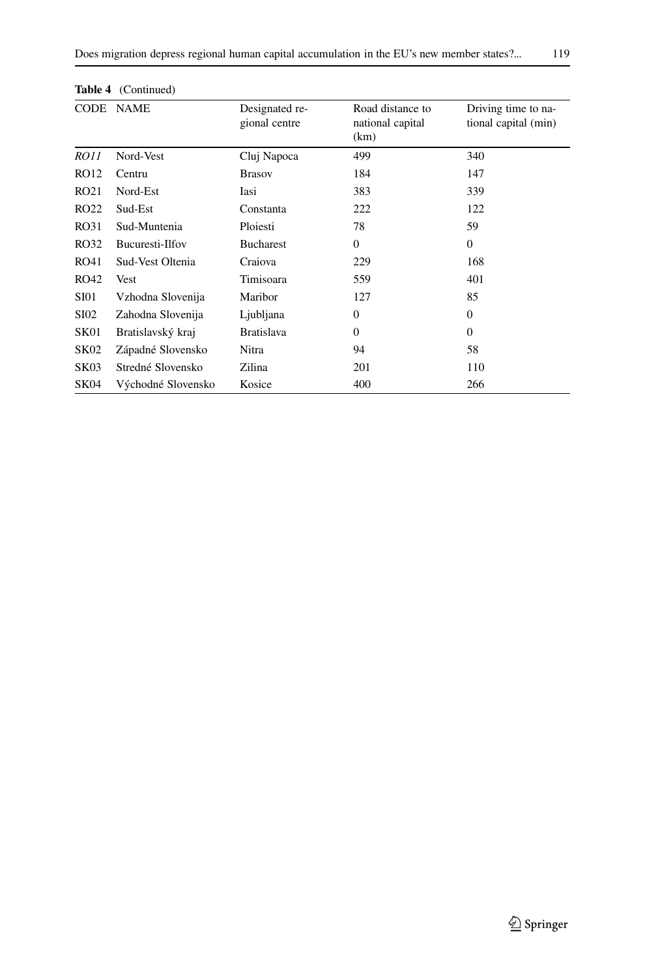|             | <b>Table +</b> (Continued) |                                 |                                              |                                             |
|-------------|----------------------------|---------------------------------|----------------------------------------------|---------------------------------------------|
|             | CODE NAME                  | Designated re-<br>gional centre | Road distance to<br>national capital<br>(km) | Driving time to na-<br>tional capital (min) |
| <i>RO11</i> | Nord-Vest                  | Cluj Napoca                     | 499                                          | 340                                         |
| RO12        | Centru                     | <b>Brasov</b>                   | 184                                          | 147                                         |
| RO21        | Nord-Est                   | Iasi                            | 383                                          | 339                                         |
| RO22        | Sud-Est                    | Constanta                       | 222                                          | 122                                         |
| RO31        | Sud-Muntenia               | Ploiesti                        | 78                                           | 59                                          |
| RO32        | Bucuresti-Ilfov            | <b>Bucharest</b>                | $\overline{0}$                               | $\mathbf{0}$                                |
| RO41        | Sud-Vest Oltenia           | Craiova                         | 229                                          | 168                                         |
| RO42        | Vest                       | Timisoara                       | 559                                          | 401                                         |
| <b>SI01</b> | Vzhodna Slovenija          | Maribor                         | 127                                          | 85                                          |
| SI02        | Zahodna Slovenija          | Ljubljana                       | $\overline{0}$                               | $\mathbf{0}$                                |
| SK01        | Bratislavský kraj          | <b>Bratislava</b>               | $\Omega$                                     | $\Omega$                                    |
| <b>SK02</b> | Západné Slovensko          | Nitra                           | 94                                           | 58                                          |
| SK03        | Stredné Slovensko          | Zilina                          | 201                                          | 110                                         |
| SK04        | Východné Slovensko         | Kosice                          | 400                                          | 266                                         |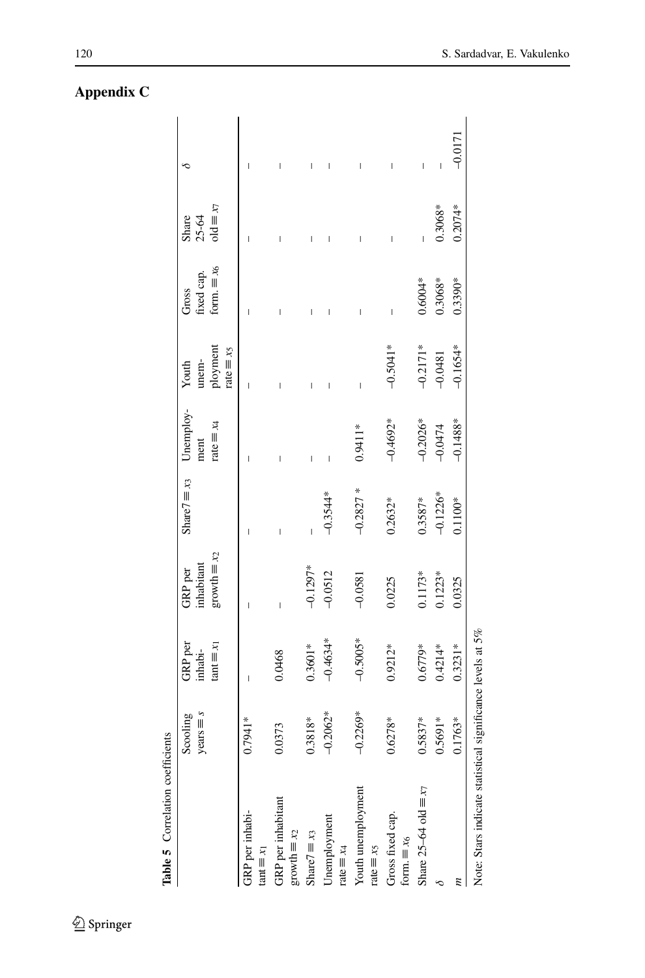| Table 5 Correlation coefficients                           |                                 |                                           |                                                     |                      |                                        |                            |                                           |                                             |           |
|------------------------------------------------------------|---------------------------------|-------------------------------------------|-----------------------------------------------------|----------------------|----------------------------------------|----------------------------|-------------------------------------------|---------------------------------------------|-----------|
|                                                            | $y$ ears $\equiv s$<br>Scooling | <b>GRP</b> per<br>$\tan = x_1$<br>inhabi- | $growth \equiv x_2$<br>inhabitant<br><b>GRP</b> per | Share $7 \equiv x_3$ | Unemploy-<br>rate $\equiv x_4$<br>ment | ployment<br>unem-<br>Youth | form. $\equiv x_6$<br>fixed cap.<br>Gross | $\text{ord} \equiv x$<br>Share<br>$25 - 64$ |           |
|                                                            |                                 |                                           |                                                     |                      |                                        | $rate \equiv x_5$          |                                           |                                             |           |
| GRP per inhabi-                                            | $0.7941*$                       | Ī                                         |                                                     |                      | I                                      | Ī                          | I                                         | Ī                                           | I         |
| $\tan t = x_1$                                             |                                 |                                           |                                                     |                      |                                        |                            |                                           |                                             |           |
| GRP per inhabitant<br>$\text{growth} \equiv x_2$           | 0.0373                          | 0.0468                                    | I                                                   |                      |                                        |                            |                                           | I                                           | Ī         |
| Share $7 \equiv x_3$                                       | 0.3818*                         | $0.3601*$                                 | $-0.1297*$                                          |                      | Ī                                      |                            |                                           | I                                           | Ī         |
| Unemployment<br>rate $\equiv x_4$                          | $-0.2062*$                      | $-0.4634*$                                | $-0.0512$                                           | $-0.3544*$           |                                        |                            |                                           |                                             |           |
| Youth unemployment<br>rate $\equiv x_5$                    | $-0.2269*$                      | $-0.5005*$                                | $-0.0581$                                           | $-0.2827$ *          | $0.9411*$                              |                            |                                           | I                                           | Ī         |
| Gross fixed cap.<br>form. $\equiv x_6$                     | $0.6278*$                       | $0.9212*$                                 | 0.0225                                              | $0.2632*$            | $-0.4692*$                             | $-0.5041*$                 |                                           | I                                           |           |
| Share $25-64$ old $\equiv x_7$                             | $0.5837*$                       | $0.6779*$                                 | $0.1173*$                                           | $0.3587*$            | $-0.2026*$                             | $-0.2171*$                 | $0.6004*$                                 |                                             |           |
|                                                            | $0.5691*$                       | $0.4214*$                                 | $0.1223*$                                           | $-0.1226*$           | $-0.0474$                              | $-0.0481$                  | $0.3068*$                                 | $0.3068*$                                   |           |
|                                                            | $0.1763*$                       | $0.3231*$                                 | 0.0325                                              | $0.1100*$            | $-0.1488*$                             | $-0.1654*$                 | $0.3390*$                                 | $0.2074*$                                   | $-0.0171$ |
| Note: Stars indicate statistical significance levels at 5% |                                 |                                           |                                                     |                      |                                        |                            |                                           |                                             |           |

<span id="page-25-0"></span>**Table 5** Correlation coefficients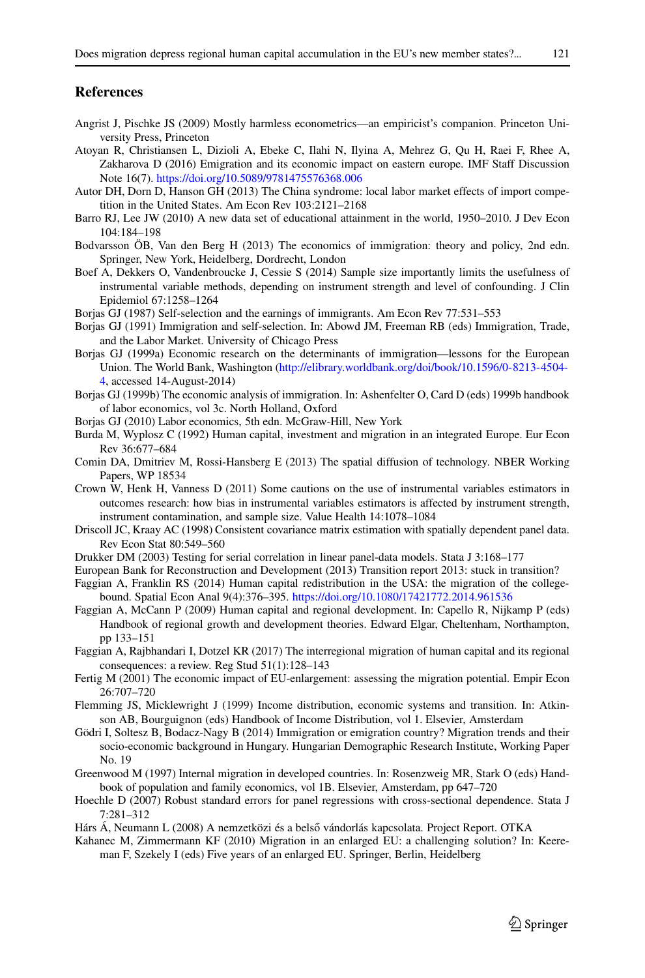## **References**

- <span id="page-26-24"></span><span id="page-26-0"></span>Angrist J, Pischke JS (2009) Mostly harmless econometrics—an empiricist's companion. Princeton University Press, Princeton
- Atoyan R, Christiansen L, Dizioli A, Ebeke C, Ilahi N, Ilyina A, Mehrez G, Qu H, Raei F, Rhee A, Zakharova D (2016) Emigration and its economic impact on eastern europe. IMF Staff Discussion Note 16(7). <https://doi.org/10.5089/9781475576368.006>
- <span id="page-26-19"></span><span id="page-26-12"></span>Autor DH, Dorn D, Hanson GH (2013) The China syndrome: local labor market effects of import competition in the United States. Am Econ Rev 103:2121–2168
- <span id="page-26-18"></span>Barro RJ, Lee JW (2010) A new data set of educational attainment in the world, 1950–2010. J Dev Econ 104:184–198
- <span id="page-26-26"></span>Bodvarsson ÖB, Van den Berg H (2013) The economics of immigration: theory and policy, 2nd edn. Springer, New York, Heidelberg, Dordrecht, London
- Boef A, Dekkers O, Vandenbroucke J, Cessie S (2014) Sample size importantly limits the usefulness of instrumental variable methods, depending on instrument strength and level of confounding. J Clin Epidemiol 67:1258–1264
- <span id="page-26-15"></span><span id="page-26-14"></span>Borjas GJ (1987) Self-selection and the earnings of immigrants. Am Econ Rev 77:531–553
- Borjas GJ (1991) Immigration and self-selection. In: Abowd JM, Freeman RB (eds) Immigration, Trade, and the Labor Market. University of Chicago Press
- <span id="page-26-16"></span>Borjas GJ (1999a) Economic research on the determinants of immigration—lessons for the European Union. The World Bank, Washington [\(http://elibrary.worldbank.org/doi/book/10.1596/0-8213-4504-](http://elibrary.worldbank.org/doi/book/10.1596/0-8213-4504-4) [4,](http://elibrary.worldbank.org/doi/book/10.1596/0-8213-4504-4) accessed 14-August-2014)
- <span id="page-26-17"></span><span id="page-26-8"></span>Borjas GJ (1999b) The economic analysis of immigration. In: Ashenfelter O, Card D (eds) 1999b handbook of labor economics, vol 3c. North Holland, Oxford
- <span id="page-26-11"></span>Borjas GJ (2010) Labor economics, 5th edn. McGraw-Hill, New York
- Burda M, Wyplosz C (1992) Human capital, investment and migration in an integrated Europe. Eur Econ Rev 36:677–684
- <span id="page-26-25"></span><span id="page-26-20"></span>Comin DA, Dmitriev M, Rossi-Hansberg E (2013) The spatial diffusion of technology. NBER Working Papers, WP 18534
- Crown W, Henk H, Vanness D (2011) Some cautions on the use of instrumental variables estimators in outcomes research: how bias in instrumental variables estimators is affected by instrument strength, instrument contamination, and sample size. Value Health 14:1078–1084
- <span id="page-26-23"></span>Driscoll JC, Kraay AC (1998) Consistent covariance matrix estimation with spatially dependent panel data. Rev Econ Stat 80:549–560
- <span id="page-26-21"></span><span id="page-26-6"></span>Drukker DM (2003) Testing for serial correlation in linear panel-data models. Stata J 3:168–177
- <span id="page-26-9"></span>European Bank for Reconstruction and Development (2013) Transition report 2013: stuck in transition?
- Faggian A, Franklin RS (2014) Human capital redistribution in the USA: the migration of the collegebound. Spatial Econ Anal 9(4):376–395. <https://doi.org/10.1080/17421772.2014.961536>
- <span id="page-26-7"></span>Faggian A, McCann P (2009) Human capital and regional development. In: Capello R, Nijkamp P (eds) Handbook of regional growth and development theories. Edward Elgar, Cheltenham, Northampton, pp 133–151
- <span id="page-26-3"></span>Faggian A, Rajbhandari I, Dotzel KR (2017) The interregional migration of human capital and its regional consequences: a review. Reg Stud 51(1):128–143
- <span id="page-26-1"></span>Fertig M (2001) The economic impact of EU-enlargement: assessing the migration potential. Empir Econ 26:707–720
- <span id="page-26-10"></span>Flemming JS, Micklewright J (1999) Income distribution, economic systems and transition. In: Atkinson AB, Bourguignon (eds) Handbook of Income Distribution, vol 1. Elsevier, Amsterdam
- <span id="page-26-4"></span>Gödri I, Soltesz B, Bodacz-Nagy B (2014) Immigration or emigration country? Migration trends and their socio-economic background in Hungary. Hungarian Demographic Research Institute, Working Paper No. 19
- <span id="page-26-22"></span><span id="page-26-13"></span>Greenwood M (1997) Internal migration in developed countries. In: Rosenzweig MR, Stark O (eds) Handbook of population and family economics, vol 1B. Elsevier, Amsterdam, pp 647–720
- <span id="page-26-5"></span>Hoechle D (2007) Robust standard errors for panel regressions with cross-sectional dependence. Stata J 7:281–312
- <span id="page-26-2"></span>Hárs Á, Neumann L (2008) A nemzetközi és a belső vándorlás kapcsolata. Project Report. OTKA
- Kahanec M, Zimmermann KF (2010) Migration in an enlarged EU: a challenging solution? In: Keereman F, Szekely I (eds) Five years of an enlarged EU. Springer, Berlin, Heidelberg